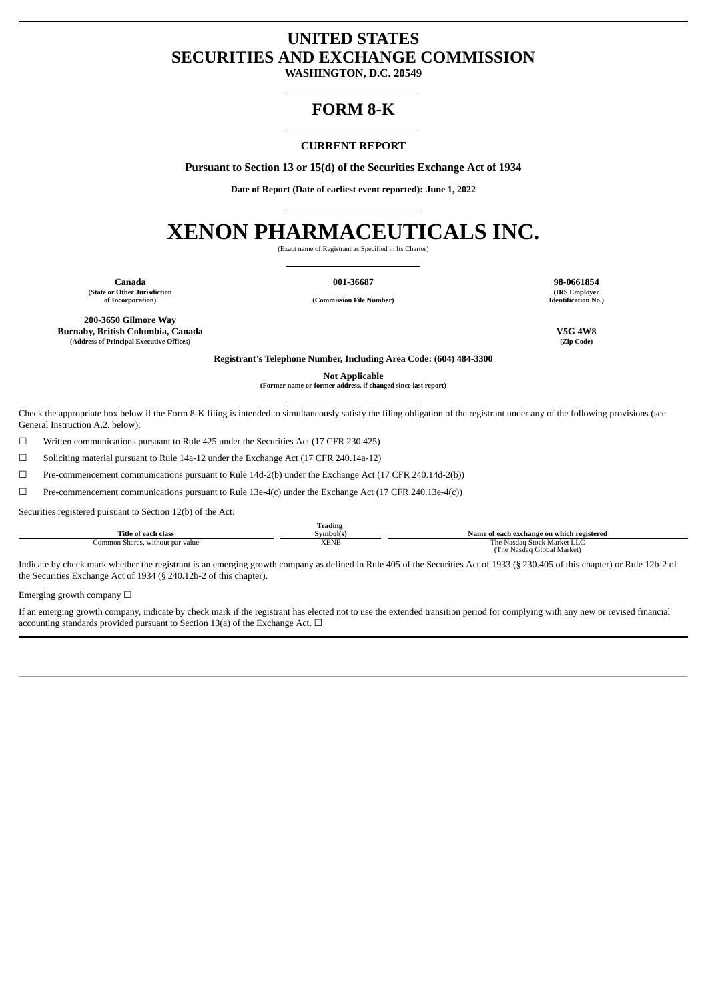# **UNITED STATES SECURITIES AND EXCHANGE COMMISSION**

**WASHINGTON, D.C. 20549**

# **FORM 8-K**

# **CURRENT REPORT**

**Pursuant to Section 13 or 15(d) of the Securities Exchange Act of 1934**

**Date of Report (Date of earliest event reported): June 1, 2022**

# **XENON PHARMACEUTICALS INC.**

(Exact name of Registrant as Specified in Its Charter)

**Canada 001-36687 98-0661854 (State or Other Jurisdiction**

**of Incorporation) (Commission File Number)**

**(IRS Employer Identification No.)**

**200-3650 Gilmore Way Burnaby, British Columbia, Canada V5G 4W8 (Address of Principal Executive Offices) (Zip Code)**

**Registrant's Telephone Number, Including Area Code: (604) 484-3300**

**Not Applicable**

**(Former name or former address, if changed since last report)**

Check the appropriate box below if the Form 8-K filing is intended to simultaneously satisfy the filing obligation of the registrant under any of the following provisions (see General Instruction A.2. below):

☐ Written communications pursuant to Rule 425 under the Securities Act (17 CFR 230.425)

☐ Soliciting material pursuant to Rule 14a-12 under the Exchange Act (17 CFR 240.14a-12)

☐ Pre-commencement communications pursuant to Rule 14d-2(b) under the Exchange Act (17 CFR 240.14d-2(b))

☐ Pre-commencement communications pursuant to Rule 13e-4(c) under the Exchange Act (17 CFR 240.13e-4(c))

Securities registered pursuant to Section 12(b) of the Act:

|                                  | <b>Trading</b> |                                           |
|----------------------------------|----------------|-------------------------------------------|
| Title of each class              | Symbol(s)      | Name of each exchange on which registered |
| Common Shares, without par value | XENE           | The Nasdag Stock Market LLC               |
|                                  |                | (The Nasdag Global Market)                |

Indicate by check mark whether the registrant is an emerging growth company as defined in Rule 405 of the Securities Act of 1933 (§ 230.405 of this chapter) or Rule 12b-2 of the Securities Exchange Act of 1934 (§ 240.12b-2 of this chapter).

Emerging growth company  $\Box$ 

If an emerging growth company, indicate by check mark if the registrant has elected not to use the extended transition period for complying with any new or revised financial accounting standards provided pursuant to Section 13(a) of the Exchange Act.  $\Box$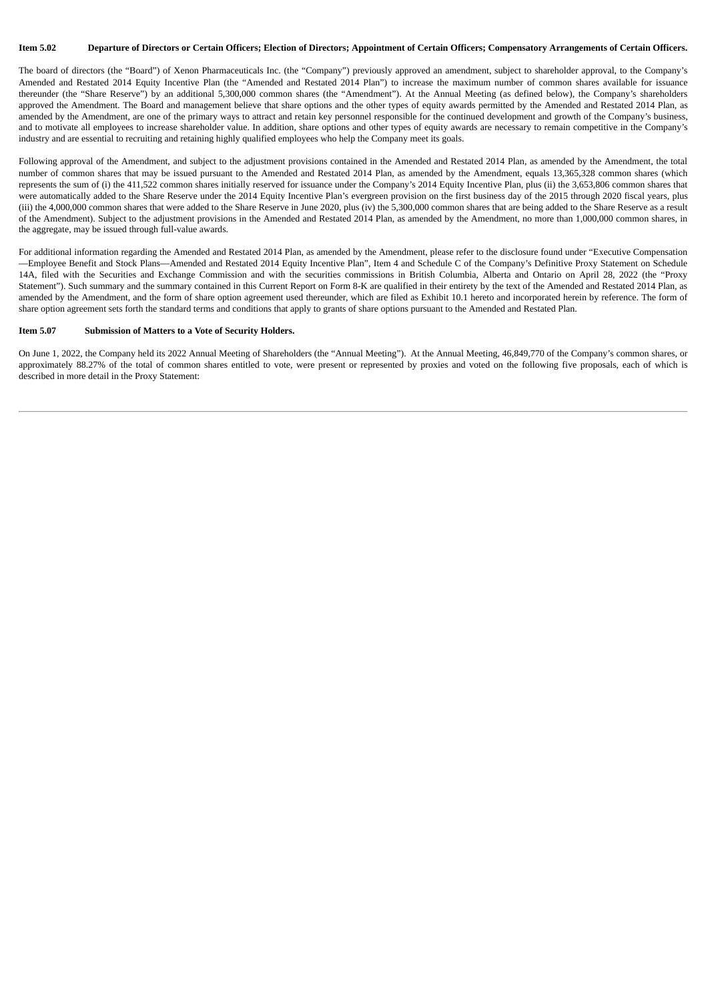# Item 5.02 Departure of Directors or Certain Officers: Election of Directors: Appointment of Certain Officers: Compensatory Arrangements of Certain Officers.

The board of directors (the "Board") of Xenon Pharmaceuticals Inc. (the "Company") previously approved an amendment, subject to shareholder approval, to the Company's Amended and Restated 2014 Equity Incentive Plan (the "Amended and Restated 2014 Plan") to increase the maximum number of common shares available for issuance thereunder (the "Share Reserve") by an additional 5,300,000 common shares (the "Amendment"). At the Annual Meeting (as defined below), the Company's shareholders approved the Amendment. The Board and management believe that share options and the other types of equity awards permitted by the Amended and Restated 2014 Plan, as amended by the Amendment, are one of the primary ways to attract and retain key personnel responsible for the continued development and growth of the Company's business, and to motivate all employees to increase shareholder value. In addition, share options and other types of equity awards are necessary to remain competitive in the Company's industry and are essential to recruiting and retaining highly qualified employees who help the Company meet its goals.

Following approval of the Amendment, and subject to the adjustment provisions contained in the Amended and Restated 2014 Plan, as amended by the Amendment, the total number of common shares that may be issued pursuant to the Amended and Restated 2014 Plan, as amended by the Amendment, equals 13,365,328 common shares (which represents the sum of (i) the 411,522 common shares initially reserved for issuance under the Company's 2014 Equity Incentive Plan, plus (ii) the 3,653,806 common shares that were automatically added to the Share Reserve under the 2014 Equity Incentive Plan's evergreen provision on the first business day of the 2015 through 2020 fiscal years, plus (iii) the 4,000,000 common shares that were added to the Share Reserve in June 2020, plus (iv) the 5,300,000 common shares that are being added to the Share Reserve as a result of the Amendment). Subject to the adjustment provisions in the Amended and Restated 2014 Plan, as amended by the Amendment, no more than 1,000,000 common shares, in the aggregate, may be issued through full-value awards.

For additional information regarding the Amended and Restated 2014 Plan, as amended by the Amendment, please refer to the disclosure found under "Executive Compensation —Employee Benefit and Stock Plans—Amended and Restated 2014 Equity Incentive Plan", Item 4 and Schedule C of the Company's Definitive Proxy Statement on Schedule 14A, filed with the Securities and Exchange Commission and with the securities commissions in British Columbia, Alberta and Ontario on April 28, 2022 (the "Proxy Statement"). Such summary and the summary contained in this Current Report on Form 8-K are qualified in their entirety by the text of the Amended and Restated 2014 Plan, as amended by the Amendment, and the form of share option agreement used thereunder, which are filed as Exhibit 10.1 hereto and incorporated herein by reference. The form of share option agreement sets forth the standard terms and conditions that apply to grants of share options pursuant to the Amended and Restated Plan.

# **Item 5.07 Submission of Matters to a Vote of Security Holders.**

On June 1, 2022, the Company held its 2022 Annual Meeting of Shareholders (the "Annual Meeting"). At the Annual Meeting, 46,849,770 of the Company's common shares, or approximately 88.27% of the total of common shares entitled to vote, were present or represented by proxies and voted on the following five proposals, each of which is described in more detail in the Proxy Statement: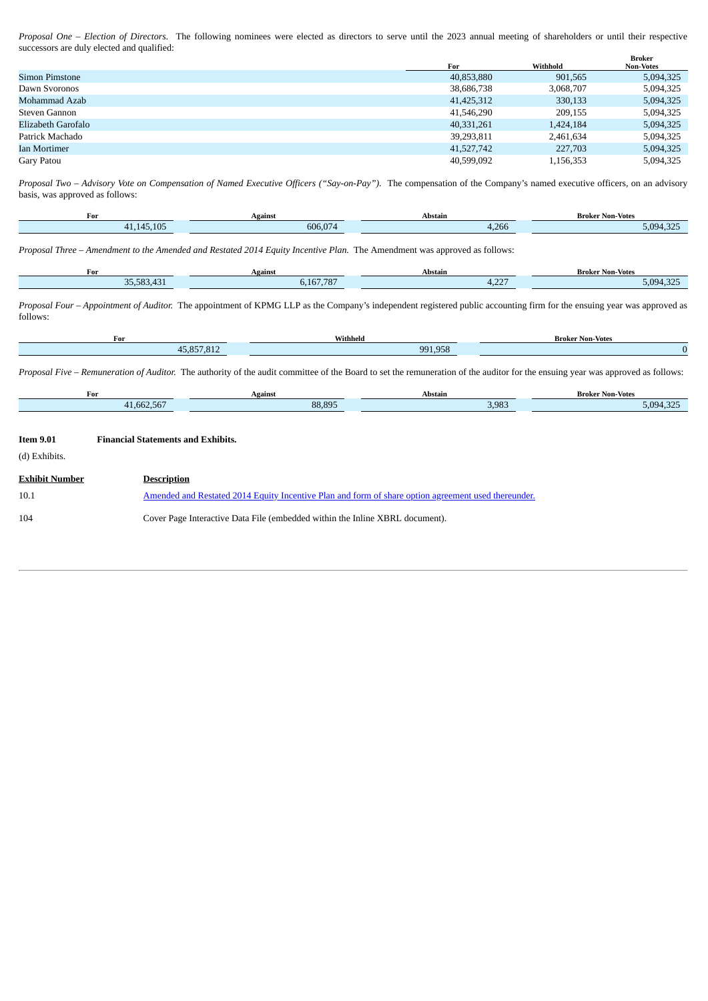*Proposal One – Election of Directors*. The following nominees were elected as directors to serve until the 2023 annual meeting of shareholders or until their respective successors are duly elected and qualified: **Broker**

|                    | For        | Withhold  | DIUNCI<br><b>Non-Votes</b> |
|--------------------|------------|-----------|----------------------------|
| Simon Pimstone     | 40,853,880 | 901,565   | 5,094,325                  |
| Dawn Svoronos      | 38,686,738 | 3,068,707 | 5,094,325                  |
| Mohammad Azab      | 41,425,312 | 330,133   | 5,094,325                  |
| Steven Gannon      | 41,546,290 | 209.155   | 5,094,325                  |
| Elizabeth Garofalo | 40,331,261 | 1,424,184 | 5,094,325                  |
| Patrick Machado    | 39,293,811 | 2,461,634 | 5,094,325                  |
| Ian Mortimer       | 41,527,742 | 227,703   | 5,094,325                  |
| Gary Patou         | 40,599,092 | 1,156,353 | 5,094,325                  |

Proposal Two - Advisory Vote on Compensation of Named Executive Officers ("Say-on-Pay"). The compensation of the Company's named executive officers, on an advisory basis, was approved as follows:

| For                         | Against | Abstain              | Non-Votes **<br>Brokeı |
|-----------------------------|---------|----------------------|------------------------|
| .105<br>145<br>$\mathbf{A}$ | 606.074 | 0.00<br>4,266<br>. . | $-$<br>5,094           |
|                             |         |                      |                        |

*Proposal Three – Amendment to the Amended and Restated 2014 Equity Incentive Plan.* The Amendment was approved as follows:

| For                     | Against                                   | Abstain                         | Broker<br><b>Non-Votes</b>                |
|-------------------------|-------------------------------------------|---------------------------------|-------------------------------------------|
| DE EOD<br>$\sim$<br>n J | 107707<br>167<br>$\overline{\phantom{a}}$ | $\sim$ $\sim$ $\sim$<br>- - - - | $\sim$ $\sim$ $\sim$<br>5.094<br>$\cdots$ |
|                         |                                           |                                 |                                           |

*Proposal Four – Appointment of Auditor.* The appointment of KPMG LLP as the Company's independent registered public accounting firm for the ensuing year was approved as follows:

| For                                  | Withheld | <b>Broker Non-Votes</b> |
|--------------------------------------|----------|-------------------------|
| $AE$ OE7 017<br>45<br>7/01<br>TU.UU. | 991,958  |                         |

*Proposal Five – Remuneration of Auditor.* The authority of the audit committee of the Board to set the remuneration of the auditor for the ensuing year was approved as follows:

|                                   | For                                       | <b>Against</b>                                                                                      | <b>Abstain</b> | <b>Broker Non-Votes</b> |
|-----------------------------------|-------------------------------------------|-----------------------------------------------------------------------------------------------------|----------------|-------------------------|
|                                   | 41,662,567                                | 88,895                                                                                              | 3,983          | 5,094,325               |
| <b>Item 9.01</b><br>(d) Exhibits. | <b>Financial Statements and Exhibits.</b> |                                                                                                     |                |                         |
| <b>Exhibit Number</b>             | <b>Description</b>                        |                                                                                                     |                |                         |
| 10.1                              |                                           | Amended and Restated 2014 Equity Incentive Plan and form of share option agreement used thereunder. |                |                         |
| 104                               |                                           | Cover Page Interactive Data File (embedded within the Inline XBRL document).                        |                |                         |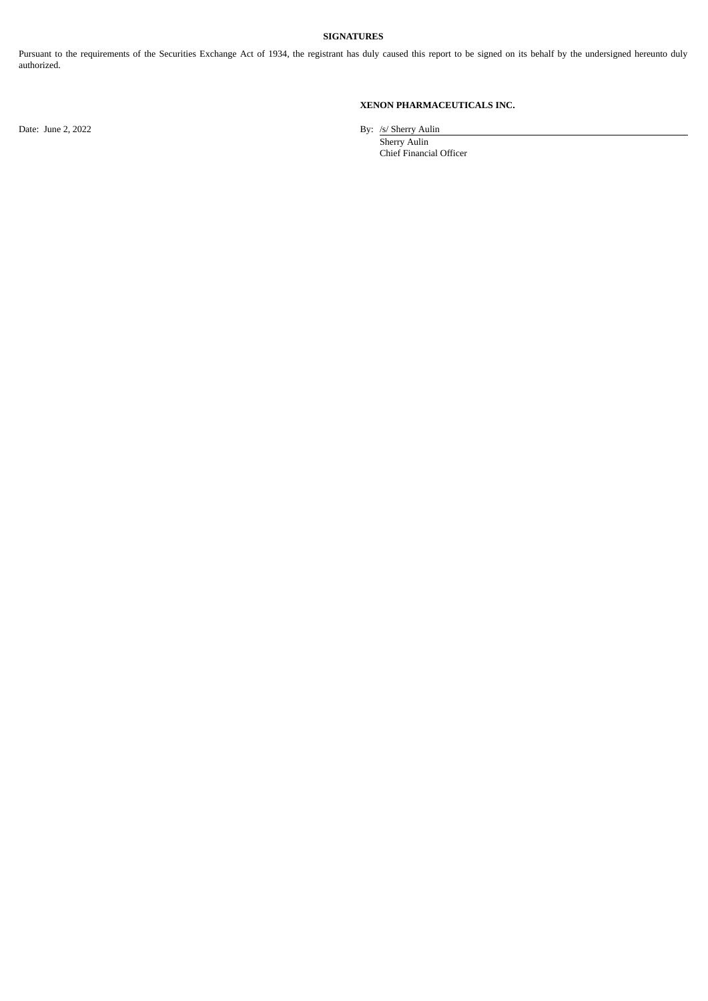# **SIGNATURES**

Pursuant to the requirements of the Securities Exchange Act of 1934, the registrant has duly caused this report to be signed on its behalf by the undersigned hereunto duly authorized.

# **XENON PHARMACEUTICALS INC.**

Date: June 2, 2022 By: /s/ Sherry Aulin

Sherry Aulin Chief Financial Officer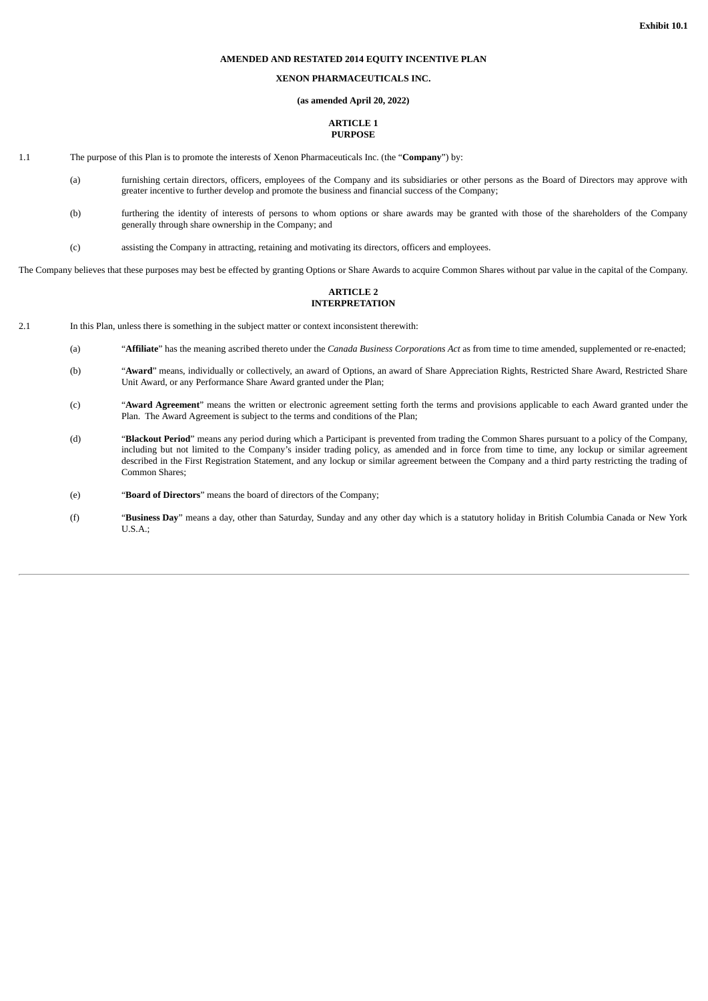# **AMENDED AND RESTATED 2014 EQUITY INCENTIVE PLAN**

# **XENON PHARMACEUTICALS INC.**

#### **(as amended April 20, 2022)**

# **ARTICLE 1 PURPOSE**

- <span id="page-4-0"></span>1.1 The purpose of this Plan is to promote the interests of Xenon Pharmaceuticals Inc. (the "**Company**") by:
	- (a) furnishing certain directors, officers, employees of the Company and its subsidiaries or other persons as the Board of Directors may approve with greater incentive to further develop and promote the business and financial success of the Company;
	- (b) furthering the identity of interests of persons to whom options or share awards may be granted with those of the shareholders of the Company generally through share ownership in the Company; and
	- (c) assisting the Company in attracting, retaining and motivating its directors, officers and employees.

The Company believes that these purposes may best be effected by granting Options or Share Awards to acquire Common Shares without par value in the capital of the Company.

# **ARTICLE 2 INTERPRETATION**

- 2.1 In this Plan, unless there is something in the subject matter or context inconsistent therewith:
	- (a) "**Affiliate**" has the meaning ascribed thereto under the *Canada Business Corporations Act* as from time to time amended, supplemented or re-enacted;
	- (b) "Award" means, individually or collectively, an award of Options, an award of Share Appreciation Rights, Restricted Share Award, Restricted Share Unit Award, or any Performance Share Award granted under the Plan;
	- (c) "**Award Agreement**" means the written or electronic agreement setting forth the terms and provisions applicable to each Award granted under the Plan. The Award Agreement is subject to the terms and conditions of the Plan;
	- (d) "**Blackout Period**" means any period during which a Participant is prevented from trading the Common Shares pursuant to a policy of the Company, including but not limited to the Company's insider trading policy, as amended and in force from time to time, any lockup or similar agreement described in the First Registration Statement, and any lockup or similar agreement between the Company and a third party restricting the trading of Common Shares;
	- (e) "**Board of Directors**" means the board of directors of the Company;
	- (f) "**Business Day**" means a day, other than Saturday, Sunday and any other day which is a statutory holiday in British Columbia Canada or New York U.S.A.;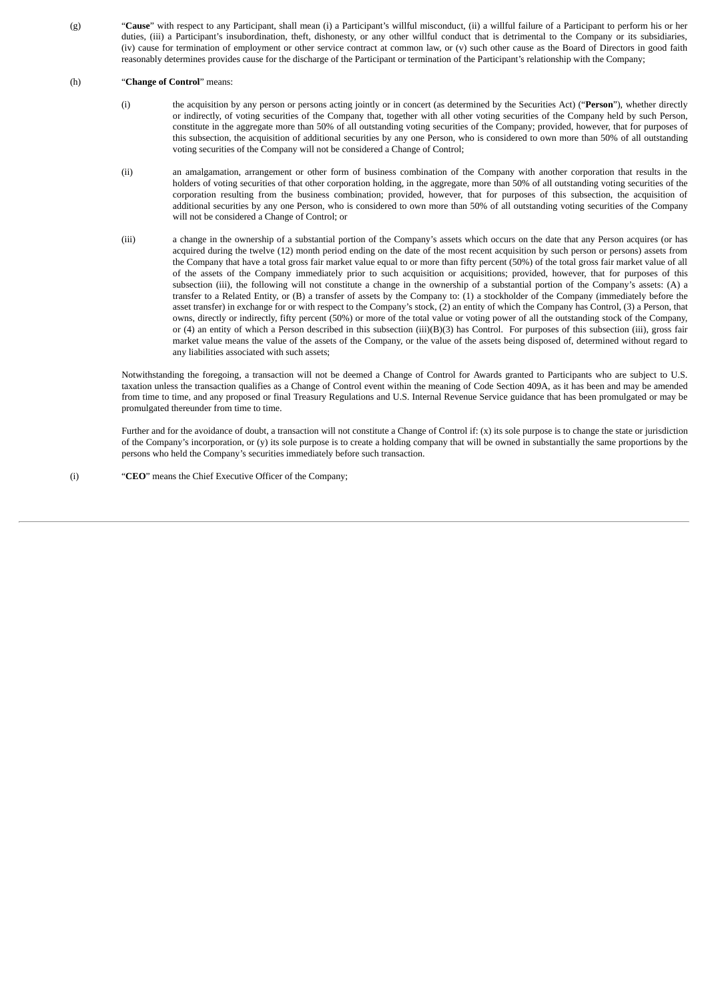(g) "**Cause**" with respect to any Participant, shall mean (i) a Participant's willful misconduct, (ii) a willful failure of a Participant to perform his or her duties, (iii) a Participant's insubordination, theft, dishonesty, or any other willful conduct that is detrimental to the Company or its subsidiaries, (iv) cause for termination of employment or other service contract at common law, or (v) such other cause as the Board of Directors in good faith reasonably determines provides cause for the discharge of the Participant or termination of the Participant's relationship with the Company;

#### (h) "**Change of Control**" means:

- (i) the acquisition by any person or persons acting jointly or in concert (as determined by the Securities Act) ("**Person**"), whether directly or indirectly, of voting securities of the Company that, together with all other voting securities of the Company held by such Person, constitute in the aggregate more than 50% of all outstanding voting securities of the Company; provided, however, that for purposes of this subsection, the acquisition of additional securities by any one Person, who is considered to own more than 50% of all outstanding voting securities of the Company will not be considered a Change of Control;
- (ii) an amalgamation, arrangement or other form of business combination of the Company with another corporation that results in the holders of voting securities of that other corporation holding, in the aggregate, more than 50% of all outstanding voting securities of the corporation resulting from the business combination; provided, however, that for purposes of this subsection, the acquisition of additional securities by any one Person, who is considered to own more than 50% of all outstanding voting securities of the Company will not be considered a Change of Control; or
- (iii) a change in the ownership of a substantial portion of the Company's assets which occurs on the date that any Person acquires (or has acquired during the twelve (12) month period ending on the date of the most recent acquisition by such person or persons) assets from the Company that have a total gross fair market value equal to or more than fifty percent (50%) of the total gross fair market value of all of the assets of the Company immediately prior to such acquisition or acquisitions; provided, however, that for purposes of this subsection (iii), the following will not constitute a change in the ownership of a substantial portion of the Company's assets: (A) a transfer to a Related Entity, or (B) a transfer of assets by the Company to: (1) a stockholder of the Company (immediately before the asset transfer) in exchange for or with respect to the Company's stock, (2) an entity of which the Company has Control, (3) a Person, that owns, directly or indirectly, fifty percent (50%) or more of the total value or voting power of all the outstanding stock of the Company, or (4) an entity of which a Person described in this subsection (iii)(B)(3) has Control. For purposes of this subsection (iii), gross fair market value means the value of the assets of the Company, or the value of the assets being disposed of, determined without regard to any liabilities associated with such assets;

Notwithstanding the foregoing, a transaction will not be deemed a Change of Control for Awards granted to Participants who are subject to U.S. taxation unless the transaction qualifies as a Change of Control event within the meaning of Code Section 409A, as it has been and may be amended from time to time, and any proposed or final Treasury Regulations and U.S. Internal Revenue Service guidance that has been promulgated or may be promulgated thereunder from time to time.

Further and for the avoidance of doubt, a transaction will not constitute a Change of Control if: (x) its sole purpose is to change the state or jurisdiction of the Company's incorporation, or (y) its sole purpose is to create a holding company that will be owned in substantially the same proportions by the persons who held the Company's securities immediately before such transaction.

(i) "**CEO**" means the Chief Executive Officer of the Company;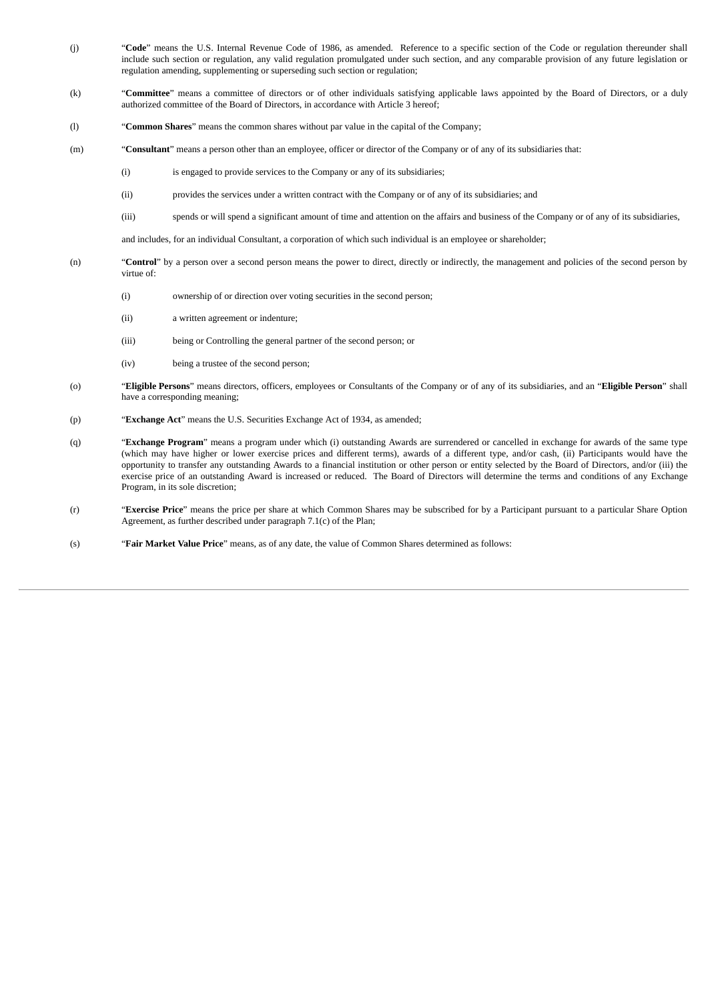- (j) "**Code**" means the U.S. Internal Revenue Code of 1986, as amended. Reference to a specific section of the Code or regulation thereunder shall include such section or regulation, any valid regulation promulgated under such section, and any comparable provision of any future legislation or regulation amending, supplementing or superseding such section or regulation;
- (k) "**Committee**" means a committee of directors or of other individuals satisfying applicable laws appointed by the Board of Directors, or a duly authorized committee of the Board of Directors, in accordance with Article 3 hereof;
- (l) "**Common Shares**" means the common shares without par value in the capital of the Company;
- (m) "**Consultant**" means a person other than an employee, officer or director of the Company or of any of its subsidiaries that:
	- (i) is engaged to provide services to the Company or any of its subsidiaries;
	- (ii) provides the services under a written contract with the Company or of any of its subsidiaries; and
	- (iii) spends or will spend a significant amount of time and attention on the affairs and business of the Company or of any of its subsidiaries,

and includes, for an individual Consultant, a corporation of which such individual is an employee or shareholder;

- (n) "**Control**" by a person over a second person means the power to direct, directly or indirectly, the management and policies of the second person by virtue of:
	- (i) ownership of or direction over voting securities in the second person;
	- (ii) a written agreement or indenture;
	- (iii) being or Controlling the general partner of the second person; or
	- (iv) being a trustee of the second person;
- (o) "**Eligible Persons**" means directors, officers, employees or Consultants of the Company or of any of its subsidiaries, and an "**Eligible Person**" shall have a corresponding meaning;
- (p) "**Exchange Act**" means the U.S. Securities Exchange Act of 1934, as amended;
- (q) "**Exchange Program**" means a program under which (i) outstanding Awards are surrendered or cancelled in exchange for awards of the same type (which may have higher or lower exercise prices and different terms), awards of a different type, and/or cash, (ii) Participants would have the opportunity to transfer any outstanding Awards to a financial institution or other person or entity selected by the Board of Directors, and/or (iii) the exercise price of an outstanding Award is increased or reduced. The Board of Directors will determine the terms and conditions of any Exchange Program, in its sole discretion;
- (r) "**Exercise Price**" means the price per share at which Common Shares may be subscribed for by a Participant pursuant to a particular Share Option Agreement, as further described under paragraph 7.1(c) of the Plan;
- (s) "**Fair Market Value Price**" means, as of any date, the value of Common Shares determined as follows: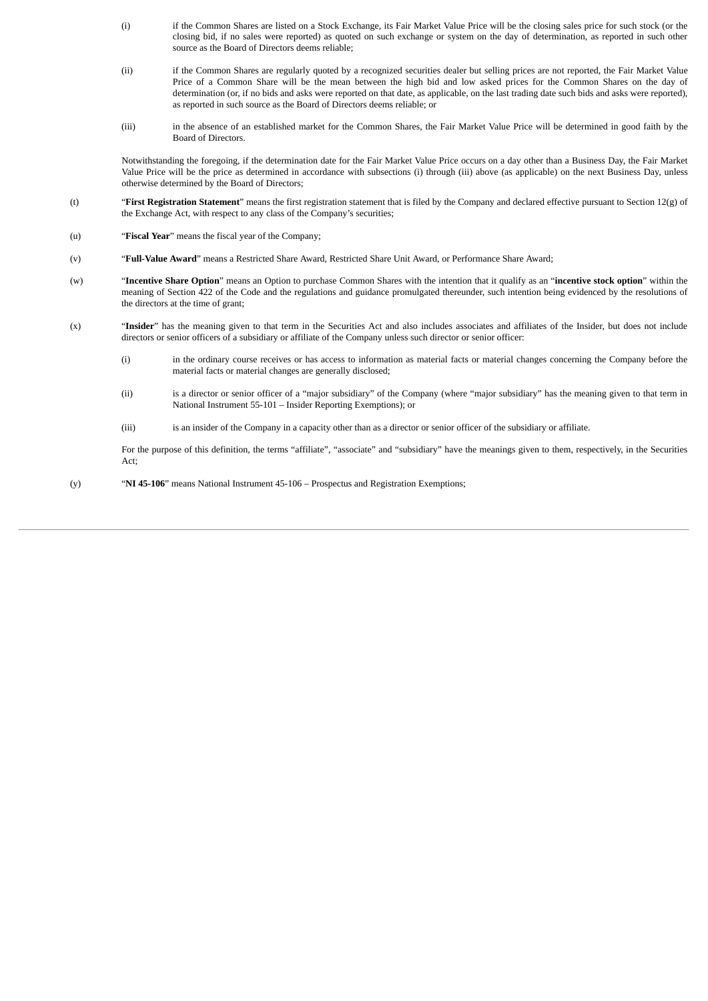- (i) if the Common Shares are listed on a Stock Exchange, its Fair Market Value Price will be the closing sales price for such stock (or the closing bid, if no sales were reported) as quoted on such exchange or system on the day of determination, as reported in such other source as the Board of Directors deems reliable;
- (ii) if the Common Shares are regularly quoted by a recognized securities dealer but selling prices are not reported, the Fair Market Value Price of a Common Share will be the mean between the high bid and low asked prices for the Common Shares on the day of determination (or, if no bids and asks were reported on that date, as applicable, on the last trading date such bids and asks were reported), as reported in such source as the Board of Directors deems reliable; or
- (iii) in the absence of an established market for the Common Shares, the Fair Market Value Price will be determined in good faith by the Board of Directors.

Notwithstanding the foregoing, if the determination date for the Fair Market Value Price occurs on a day other than a Business Day, the Fair Market Value Price will be the price as determined in accordance with subsections (i) through (iii) above (as applicable) on the next Business Day, unless otherwise determined by the Board of Directors;

- (t) "**First Registration Statement**" means the first registration statement that is filed by the Company and declared effective pursuant to Section 12(g) of the Exchange Act, with respect to any class of the Company's securities;
- (u) "**Fiscal Year**" means the fiscal year of the Company;
- (v) "**Full-Value Award**" means a Restricted Share Award, Restricted Share Unit Award, or Performance Share Award;
- (w) "**Incentive Share Option**" means an Option to purchase Common Shares with the intention that it qualify as an "**incentive stock option**" within the meaning of Section 422 of the Code and the regulations and guidance promulgated thereunder, such intention being evidenced by the resolutions of the directors at the time of grant;
- (x) "**Insider**" has the meaning given to that term in the Securities Act and also includes associates and affiliates of the Insider, but does not include directors or senior officers of a subsidiary or affiliate of the Company unless such director or senior officer:
	- (i) in the ordinary course receives or has access to information as material facts or material changes concerning the Company before the material facts or material changes are generally disclosed;
	- (ii) is a director or senior officer of a "major subsidiary" of the Company (where "major subsidiary" has the meaning given to that term in National Instrument 55‑101 – Insider Reporting Exemptions); or
	- (iii) is an insider of the Company in a capacity other than as a director or senior officer of the subsidiary or affiliate.

For the purpose of this definition, the terms "affiliate", "associate" and "subsidiary" have the meanings given to them, respectively, in the Securities Act;

(y) "**NI 45‑106**" means National Instrument 45‑106 – Prospectus and Registration Exemptions;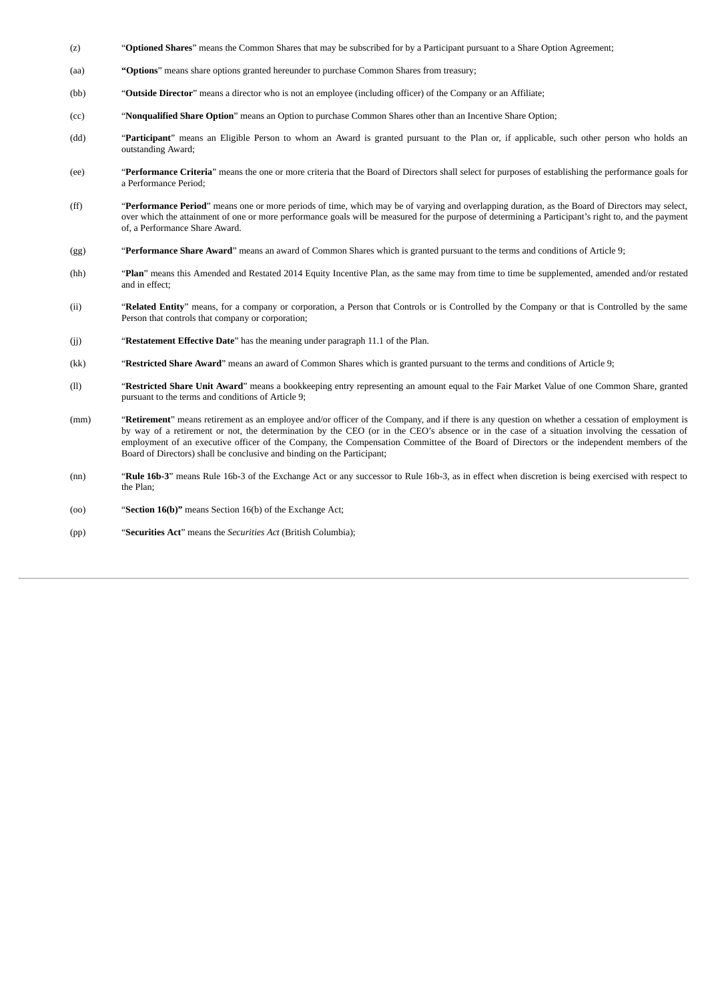- (z) "**Optioned Shares**" means the Common Shares that may be subscribed for by a Participant pursuant to a Share Option Agreement;
- (aa) **"Options**" means share options granted hereunder to purchase Common Shares from treasury;
- (bb) "**Outside Director**" means a director who is not an employee (including officer) of the Company or an Affiliate;
- (cc) "**Nonqualified Share Option**" means an Option to purchase Common Shares other than an Incentive Share Option;
- (dd) "**Participant**" means an Eligible Person to whom an Award is granted pursuant to the Plan or, if applicable, such other person who holds an outstanding Award;
- (ee) "**Performance Criteria**" means the one or more criteria that the Board of Directors shall select for purposes of establishing the performance goals for a Performance Period;
- (ff) "**Performance Period**" means one or more periods of time, which may be of varying and overlapping duration, as the Board of Directors may select, over which the attainment of one or more performance goals will be measured for the purpose of determining a Participant's right to, and the payment of, a Performance Share Award.
- (gg) "**Performance Share Award**" means an award of Common Shares which is granted pursuant to the terms and conditions of Article 9;
- (hh) "**Plan**" means this Amended and Restated 2014 Equity Incentive Plan, as the same may from time to time be supplemented, amended and/or restated and in effect;
- (ii) "**Related Entity**" means, for a company or corporation, a Person that Controls or is Controlled by the Company or that is Controlled by the same Person that controls that company or corporation;
- (jj) "**Restatement Effective Date**" has the meaning under paragraph 11.1 of the Plan.
- (kk) "**Restricted Share Award**" means an award of Common Shares which is granted pursuant to the terms and conditions of Article 9;
- (ll) "**Restricted Share Unit Award**" means a bookkeeping entry representing an amount equal to the Fair Market Value of one Common Share, granted pursuant to the terms and conditions of Article 9;
- (mm) "**Retirement**" means retirement as an employee and/or officer of the Company, and if there is any question on whether a cessation of employment is by way of a retirement or not, the determination by the CEO (or in the CEO's absence or in the case of a situation involving the cessation of employment of an executive officer of the Company, the Compensation Committee of the Board of Directors or the independent members of the Board of Directors) shall be conclusive and binding on the Participant;
- (nn) "**Rule 16b-3**" means Rule 16b-3 of the Exchange Act or any successor to Rule 16b-3, as in effect when discretion is being exercised with respect to the Plan;
- (oo) "**Section 16(b)"** means Section 16(b) of the Exchange Act;
- (pp) "**Securities Act**" means the *Securities Act* (British Columbia);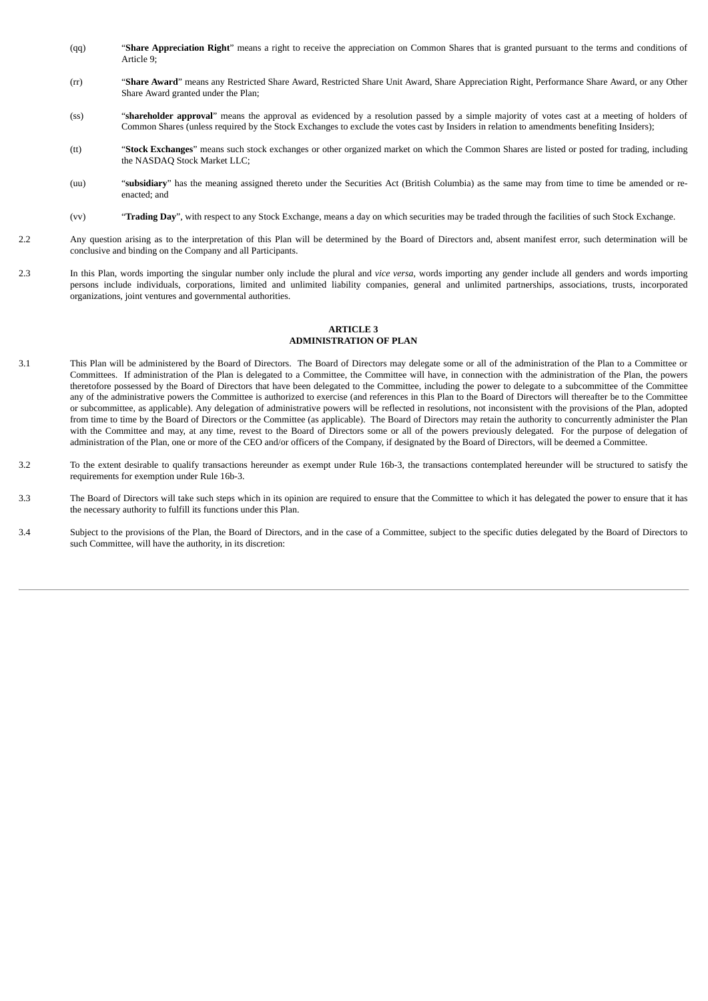- (qq) "**Share Appreciation Right**" means a right to receive the appreciation on Common Shares that is granted pursuant to the terms and conditions of Article 9;
- (rr) "**Share Award**" means any Restricted Share Award, Restricted Share Unit Award, Share Appreciation Right, Performance Share Award, or any Other Share Award granted under the Plan;
- (ss) "**shareholder approval**" means the approval as evidenced by a resolution passed by a simple majority of votes cast at a meeting of holders of Common Shares (unless required by the Stock Exchanges to exclude the votes cast by Insiders in relation to amendments benefiting Insiders);
- (tt) "**Stock Exchanges**" means such stock exchanges or other organized market on which the Common Shares are listed or posted for trading, including the NASDAQ Stock Market LLC;
- (uu) "**subsidiary**" has the meaning assigned thereto under the Securities Act (British Columbia) as the same may from time to time be amended or reenacted; and
- (vv) "**Trading Day**", with respect to any Stock Exchange, means a day on which securities may be traded through the facilities of such Stock Exchange.
- 2.2 Any question arising as to the interpretation of this Plan will be determined by the Board of Directors and, absent manifest error, such determination will be conclusive and binding on the Company and all Participants.
- 2.3 In this Plan, words importing the singular number only include the plural and *vice versa*, words importing any gender include all genders and words importing persons include individuals, corporations, limited and unlimited liability companies, general and unlimited partnerships, associations, trusts, incorporated organizations, joint ventures and governmental authorities.

#### **ARTICLE 3 ADMINISTRATION OF PLAN**

- 3.1 This Plan will be administered by the Board of Directors. The Board of Directors may delegate some or all of the administration of the Plan to a Committee or Committees. If administration of the Plan is delegated to a Committee, the Committee will have, in connection with the administration of the Plan, the powers theretofore possessed by the Board of Directors that have been delegated to the Committee, including the power to delegate to a subcommittee of the Committee any of the administrative powers the Committee is authorized to exercise (and references in this Plan to the Board of Directors will thereafter be to the Committee or subcommittee, as applicable). Any delegation of administrative powers will be reflected in resolutions, not inconsistent with the provisions of the Plan, adopted from time to time by the Board of Directors or the Committee (as applicable). The Board of Directors may retain the authority to concurrently administer the Plan with the Committee and may, at any time, revest to the Board of Directors some or all of the powers previously delegated. For the purpose of delegation of administration of the Plan, one or more of the CEO and/or officers of the Company, if designated by the Board of Directors, will be deemed a Committee.
- 3.2 To the extent desirable to qualify transactions hereunder as exempt under Rule 16b-3, the transactions contemplated hereunder will be structured to satisfy the requirements for exemption under Rule 16b-3.
- 3.3 The Board of Directors will take such steps which in its opinion are required to ensure that the Committee to which it has delegated the power to ensure that it has the necessary authority to fulfill its functions under this Plan.
- 3.4 Subject to the provisions of the Plan, the Board of Directors, and in the case of a Committee, subject to the specific duties delegated by the Board of Directors to such Committee, will have the authority, in its discretion: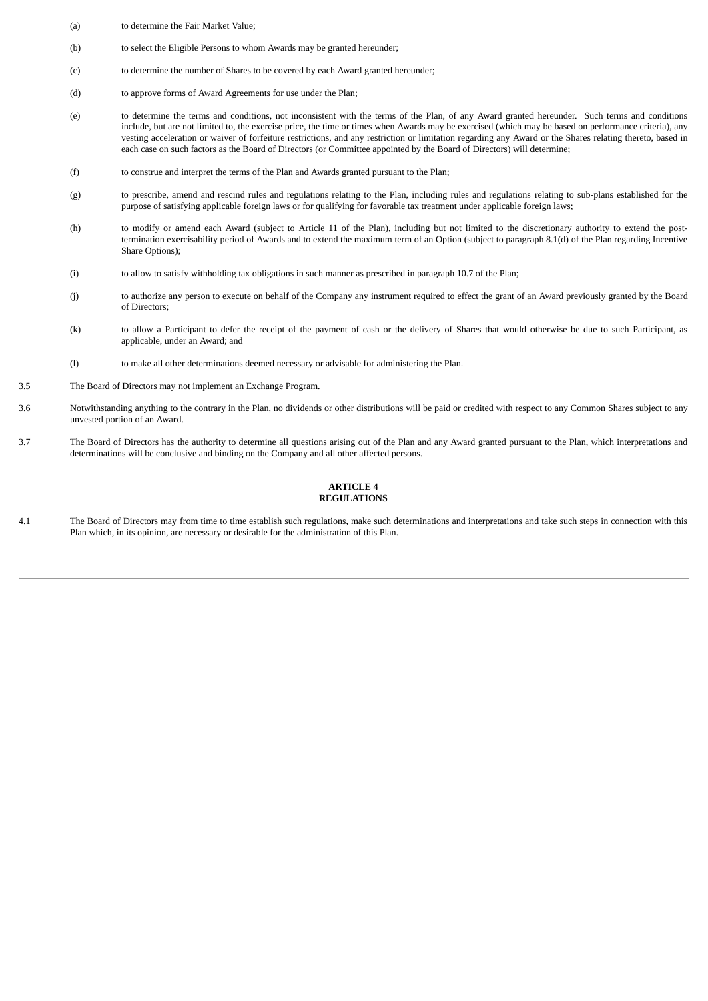- (a) to determine the Fair Market Value;
- (b) to select the Eligible Persons to whom Awards may be granted hereunder;
- (c) to determine the number of Shares to be covered by each Award granted hereunder;
- (d) to approve forms of Award Agreements for use under the Plan;
- (e) to determine the terms and conditions, not inconsistent with the terms of the Plan, of any Award granted hereunder. Such terms and conditions include, but are not limited to, the exercise price, the time or times when Awards may be exercised (which may be based on performance criteria), any vesting acceleration or waiver of forfeiture restrictions, and any restriction or limitation regarding any Award or the Shares relating thereto, based in each case on such factors as the Board of Directors (or Committee appointed by the Board of Directors) will determine;
- (f) to construe and interpret the terms of the Plan and Awards granted pursuant to the Plan;
- (g) to prescribe, amend and rescind rules and regulations relating to the Plan, including rules and regulations relating to sub-plans established for the purpose of satisfying applicable foreign laws or for qualifying for favorable tax treatment under applicable foreign laws;
- (h) to modify or amend each Award (subject to Article 11 of the Plan), including but not limited to the discretionary authority to extend the posttermination exercisability period of Awards and to extend the maximum term of an Option (subject to paragraph 8.1(d) of the Plan regarding Incentive Share Options);
- (i) to allow to satisfy withholding tax obligations in such manner as prescribed in paragraph 10.7 of the Plan;
- (j) to authorize any person to execute on behalf of the Company any instrument required to effect the grant of an Award previously granted by the Board of Directors;
- (k) to allow a Participant to defer the receipt of the payment of cash or the delivery of Shares that would otherwise be due to such Participant, as applicable, under an Award; and
- (l) to make all other determinations deemed necessary or advisable for administering the Plan.
- 3.5 The Board of Directors may not implement an Exchange Program.
- 3.6 Notwithstanding anything to the contrary in the Plan, no dividends or other distributions will be paid or credited with respect to any Common Shares subject to any unvested portion of an Award.
- 3.7 The Board of Directors has the authority to determine all questions arising out of the Plan and any Award granted pursuant to the Plan, which interpretations and determinations will be conclusive and binding on the Company and all other affected persons.

# **ARTICLE 4 REGULATIONS**

4.1 The Board of Directors may from time to time establish such regulations, make such determinations and interpretations and take such steps in connection with this Plan which, in its opinion, are necessary or desirable for the administration of this Plan.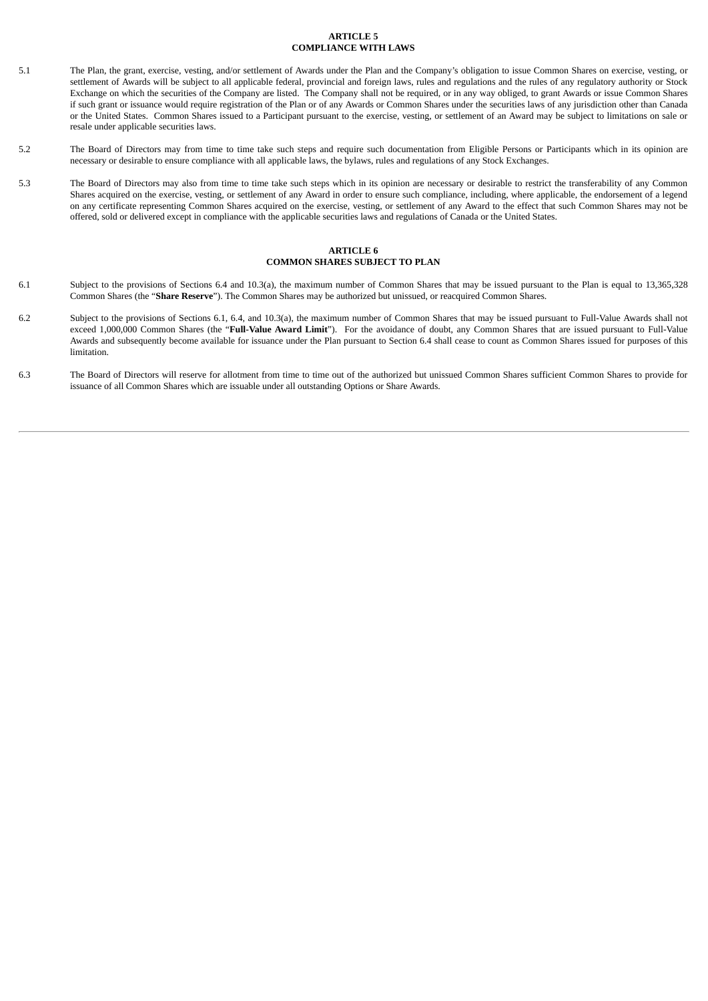# **ARTICLE 5 COMPLIANCE WITH LAWS**

- 5.1 The Plan, the grant, exercise, vesting, and/or settlement of Awards under the Plan and the Company's obligation to issue Common Shares on exercise, vesting, or settlement of Awards will be subject to all applicable federal, provincial and foreign laws, rules and regulations and the rules of any regulatory authority or Stock Exchange on which the securities of the Company are listed. The Company shall not be required, or in any way obliged, to grant Awards or issue Common Shares if such grant or issuance would require registration of the Plan or of any Awards or Common Shares under the securities laws of any jurisdiction other than Canada or the United States. Common Shares issued to a Participant pursuant to the exercise, vesting, or settlement of an Award may be subject to limitations on sale or resale under applicable securities laws.
- 5.2 The Board of Directors may from time to time take such steps and require such documentation from Eligible Persons or Participants which in its opinion are necessary or desirable to ensure compliance with all applicable laws, the bylaws, rules and regulations of any Stock Exchanges.
- 5.3 The Board of Directors may also from time to time take such steps which in its opinion are necessary or desirable to restrict the transferability of any Common Shares acquired on the exercise, vesting, or settlement of any Award in order to ensure such compliance, including, where applicable, the endorsement of a legend on any certificate representing Common Shares acquired on the exercise, vesting, or settlement of any Award to the effect that such Common Shares may not be offered, sold or delivered except in compliance with the applicable securities laws and regulations of Canada or the United States.

# **ARTICLE 6 COMMON SHARES SUBJECT TO PLAN**

- 6.1 Subject to the provisions of Sections 6.4 and 10.3(a), the maximum number of Common Shares that may be issued pursuant to the Plan is equal to 13,365,328 Common Shares (the "**Share Reserve**"). The Common Shares may be authorized but unissued, or reacquired Common Shares.
- 6.2 Subject to the provisions of Sections 6.1, 6.4, and 10.3(a), the maximum number of Common Shares that may be issued pursuant to Full-Value Awards shall not exceed 1,000,000 Common Shares (the "**Full-Value Award Limit**"). For the avoidance of doubt, any Common Shares that are issued pursuant to Full-Value Awards and subsequently become available for issuance under the Plan pursuant to Section 6.4 shall cease to count as Common Shares issued for purposes of this limitation.
- 6.3 The Board of Directors will reserve for allotment from time to time out of the authorized but unissued Common Shares sufficient Common Shares to provide for issuance of all Common Shares which are issuable under all outstanding Options or Share Awards.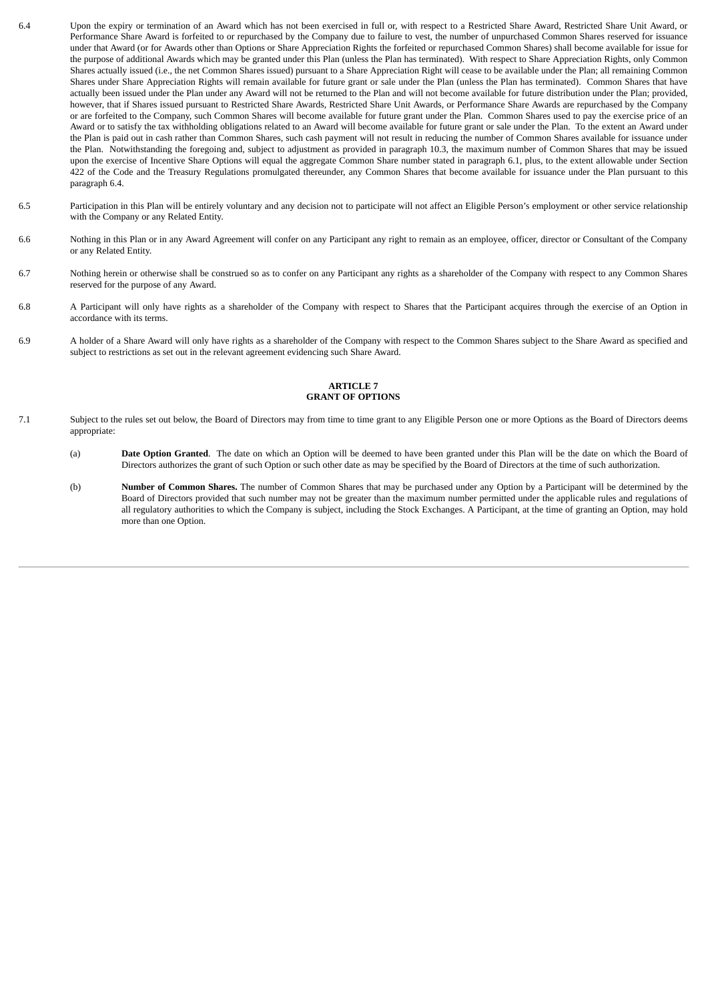- 6.4 Upon the expiry or termination of an Award which has not been exercised in full or, with respect to a Restricted Share Award, Restricted Share Unit Award, or Performance Share Award is forfeited to or repurchased by the Company due to failure to vest, the number of unpurchased Common Shares reserved for issuance under that Award (or for Awards other than Options or Share Appreciation Rights the forfeited or repurchased Common Shares) shall become available for issue for the purpose of additional Awards which may be granted under this Plan (unless the Plan has terminated). With respect to Share Appreciation Rights, only Common Shares actually issued (i.e., the net Common Shares issued) pursuant to a Share Appreciation Right will cease to be available under the Plan; all remaining Common Shares under Share Appreciation Rights will remain available for future grant or sale under the Plan (unless the Plan has terminated). Common Shares that have actually been issued under the Plan under any Award will not be returned to the Plan and will not become available for future distribution under the Plan; provided, however, that if Shares issued pursuant to Restricted Share Awards, Restricted Share Unit Awards, or Performance Share Awards are repurchased by the Company or are forfeited to the Company, such Common Shares will become available for future grant under the Plan. Common Shares used to pay the exercise price of an Award or to satisfy the tax withholding obligations related to an Award will become available for future grant or sale under the Plan. To the extent an Award under the Plan is paid out in cash rather than Common Shares, such cash payment will not result in reducing the number of Common Shares available for issuance under the Plan. Notwithstanding the foregoing and, subject to adjustment as provided in paragraph 10.3, the maximum number of Common Shares that may be issued upon the exercise of Incentive Share Options will equal the aggregate Common Share number stated in paragraph 6.1, plus, to the extent allowable under Section 422 of the Code and the Treasury Regulations promulgated thereunder, any Common Shares that become available for issuance under the Plan pursuant to this paragraph 6.4.
- 6.5 Participation in this Plan will be entirely voluntary and any decision not to participate will not affect an Eligible Person's employment or other service relationship with the Company or any Related Entity.
- 6.6 Nothing in this Plan or in any Award Agreement will confer on any Participant any right to remain as an employee, officer, director or Consultant of the Company or any Related Entity.
- 6.7 Nothing herein or otherwise shall be construed so as to confer on any Participant any rights as a shareholder of the Company with respect to any Common Shares reserved for the purpose of any Award.
- 6.8 A Participant will only have rights as a shareholder of the Company with respect to Shares that the Participant acquires through the exercise of an Option in accordance with its terms.
- 6.9 A holder of a Share Award will only have rights as a shareholder of the Company with respect to the Common Shares subject to the Share Award as specified and subject to restrictions as set out in the relevant agreement evidencing such Share Award.

# **ARTICLE 7 GRANT OF OPTIONS**

- 7.1 Subject to the rules set out below, the Board of Directors may from time to time grant to any Eligible Person one or more Options as the Board of Directors deems appropriate:
	- (a) **Date Option Granted**. The date on which an Option will be deemed to have been granted under this Plan will be the date on which the Board of Directors authorizes the grant of such Option or such other date as may be specified by the Board of Directors at the time of such authorization.
	- (b) **Number of Common Shares.** The number of Common Shares that may be purchased under any Option by a Participant will be determined by the Board of Directors provided that such number may not be greater than the maximum number permitted under the applicable rules and regulations of all regulatory authorities to which the Company is subject, including the Stock Exchanges. A Participant, at the time of granting an Option, may hold more than one Option.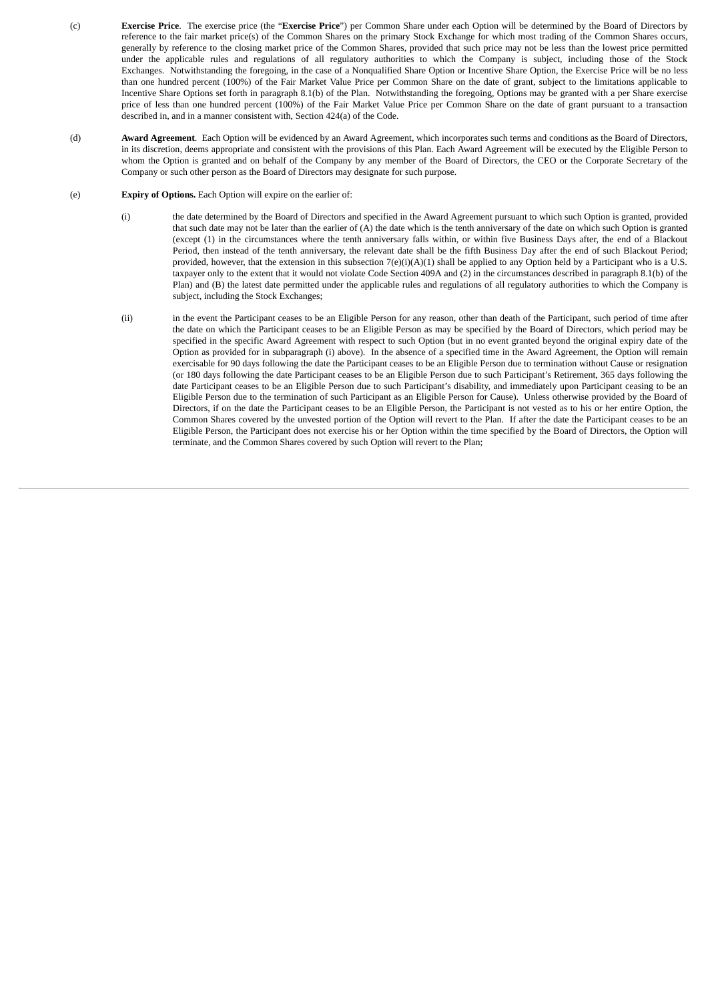- (c) **Exercise Price**. The exercise price (the "**Exercise Price**") per Common Share under each Option will be determined by the Board of Directors by reference to the fair market price(s) of the Common Shares on the primary Stock Exchange for which most trading of the Common Shares occurs, generally by reference to the closing market price of the Common Shares, provided that such price may not be less than the lowest price permitted under the applicable rules and regulations of all regulatory authorities to which the Company is subject, including those of the Stock Exchanges. Notwithstanding the foregoing, in the case of a Nonqualified Share Option or Incentive Share Option, the Exercise Price will be no less than one hundred percent (100%) of the Fair Market Value Price per Common Share on the date of grant, subject to the limitations applicable to Incentive Share Options set forth in paragraph 8.1(b) of the Plan. Notwithstanding the foregoing, Options may be granted with a per Share exercise price of less than one hundred percent (100%) of the Fair Market Value Price per Common Share on the date of grant pursuant to a transaction described in, and in a manner consistent with, Section 424(a) of the Code.
- (d) **Award Agreement**. Each Option will be evidenced by an Award Agreement, which incorporates such terms and conditions as the Board of Directors, in its discretion, deems appropriate and consistent with the provisions of this Plan. Each Award Agreement will be executed by the Eligible Person to whom the Option is granted and on behalf of the Company by any member of the Board of Directors, the CEO or the Corporate Secretary of the Company or such other person as the Board of Directors may designate for such purpose.

# (e) **Expiry of Options.** Each Option will expire on the earlier of:

- (i) the date determined by the Board of Directors and specified in the Award Agreement pursuant to which such Option is granted, provided that such date may not be later than the earlier of (A) the date which is the tenth anniversary of the date on which such Option is granted (except (1) in the circumstances where the tenth anniversary falls within, or within five Business Days after, the end of a Blackout Period, then instead of the tenth anniversary, the relevant date shall be the fifth Business Day after the end of such Blackout Period; provided, however, that the extension in this subsection  $7(e)(i)(A)(1)$  shall be applied to any Option held by a Participant who is a U.S. taxpayer only to the extent that it would not violate Code Section 409A and (2) in the circumstances described in paragraph 8.1(b) of the Plan) and (B) the latest date permitted under the applicable rules and regulations of all regulatory authorities to which the Company is subject, including the Stock Exchanges;
- (ii) in the event the Participant ceases to be an Eligible Person for any reason, other than death of the Participant, such period of time after the date on which the Participant ceases to be an Eligible Person as may be specified by the Board of Directors, which period may be specified in the specific Award Agreement with respect to such Option (but in no event granted beyond the original expiry date of the Option as provided for in subparagraph (i) above). In the absence of a specified time in the Award Agreement, the Option will remain exercisable for 90 days following the date the Participant ceases to be an Eligible Person due to termination without Cause or resignation (or 180 days following the date Participant ceases to be an Eligible Person due to such Participant's Retirement, 365 days following the date Participant ceases to be an Eligible Person due to such Participant's disability, and immediately upon Participant ceasing to be an Eligible Person due to the termination of such Participant as an Eligible Person for Cause). Unless otherwise provided by the Board of Directors, if on the date the Participant ceases to be an Eligible Person, the Participant is not vested as to his or her entire Option, the Common Shares covered by the unvested portion of the Option will revert to the Plan. If after the date the Participant ceases to be an Eligible Person, the Participant does not exercise his or her Option within the time specified by the Board of Directors, the Option will terminate, and the Common Shares covered by such Option will revert to the Plan;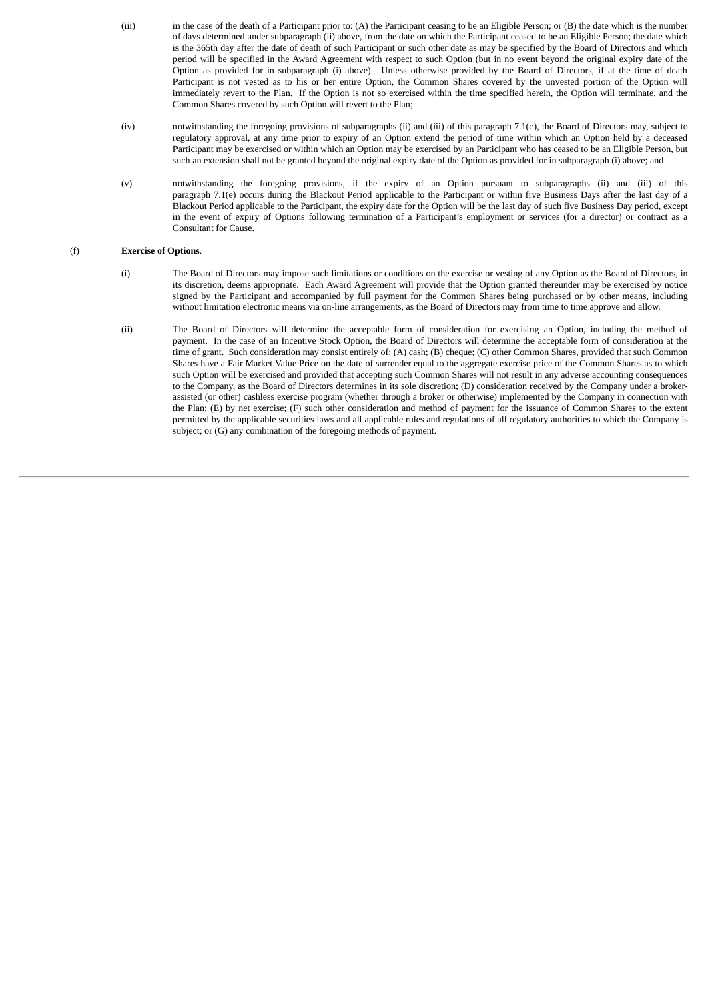- (iii) in the case of the death of a Participant prior to: (A) the Participant ceasing to be an Eligible Person; or (B) the date which is the number of days determined under subparagraph (ii) above, from the date on which the Participant ceased to be an Eligible Person; the date which is the 365th day after the date of death of such Participant or such other date as may be specified by the Board of Directors and which period will be specified in the Award Agreement with respect to such Option (but in no event beyond the original expiry date of the Option as provided for in subparagraph (i) above). Unless otherwise provided by the Board of Directors, if at the time of death Participant is not vested as to his or her entire Option, the Common Shares covered by the unvested portion of the Option will immediately revert to the Plan. If the Option is not so exercised within the time specified herein, the Option will terminate, and the Common Shares covered by such Option will revert to the Plan;
- (iv) notwithstanding the foregoing provisions of subparagraphs (ii) and (iii) of this paragraph 7.1(e), the Board of Directors may, subject to regulatory approval, at any time prior to expiry of an Option extend the period of time within which an Option held by a deceased Participant may be exercised or within which an Option may be exercised by an Participant who has ceased to be an Eligible Person, but such an extension shall not be granted beyond the original expiry date of the Option as provided for in subparagraph (i) above; and
- (v) notwithstanding the foregoing provisions, if the expiry of an Option pursuant to subparagraphs (ii) and (iii) of this paragraph 7.1(e) occurs during the Blackout Period applicable to the Participant or within five Business Days after the last day of a Blackout Period applicable to the Participant, the expiry date for the Option will be the last day of such five Business Day period, except in the event of expiry of Options following termination of a Participant's employment or services (for a director) or contract as a Consultant for Cause.

# (f) **Exercise of Options**.

- (i) The Board of Directors may impose such limitations or conditions on the exercise or vesting of any Option as the Board of Directors, in its discretion, deems appropriate. Each Award Agreement will provide that the Option granted thereunder may be exercised by notice signed by the Participant and accompanied by full payment for the Common Shares being purchased or by other means, including without limitation electronic means via on-line arrangements, as the Board of Directors may from time to time approve and allow.
- (ii) The Board of Directors will determine the acceptable form of consideration for exercising an Option, including the method of payment. In the case of an Incentive Stock Option, the Board of Directors will determine the acceptable form of consideration at the time of grant. Such consideration may consist entirely of: (A) cash; (B) cheque; (C) other Common Shares, provided that such Common Shares have a Fair Market Value Price on the date of surrender equal to the aggregate exercise price of the Common Shares as to which such Option will be exercised and provided that accepting such Common Shares will not result in any adverse accounting consequences to the Company, as the Board of Directors determines in its sole discretion; (D) consideration received by the Company under a brokerassisted (or other) cashless exercise program (whether through a broker or otherwise) implemented by the Company in connection with the Plan; (E) by net exercise; (F) such other consideration and method of payment for the issuance of Common Shares to the extent permitted by the applicable securities laws and all applicable rules and regulations of all regulatory authorities to which the Company is subject; or (G) any combination of the foregoing methods of payment.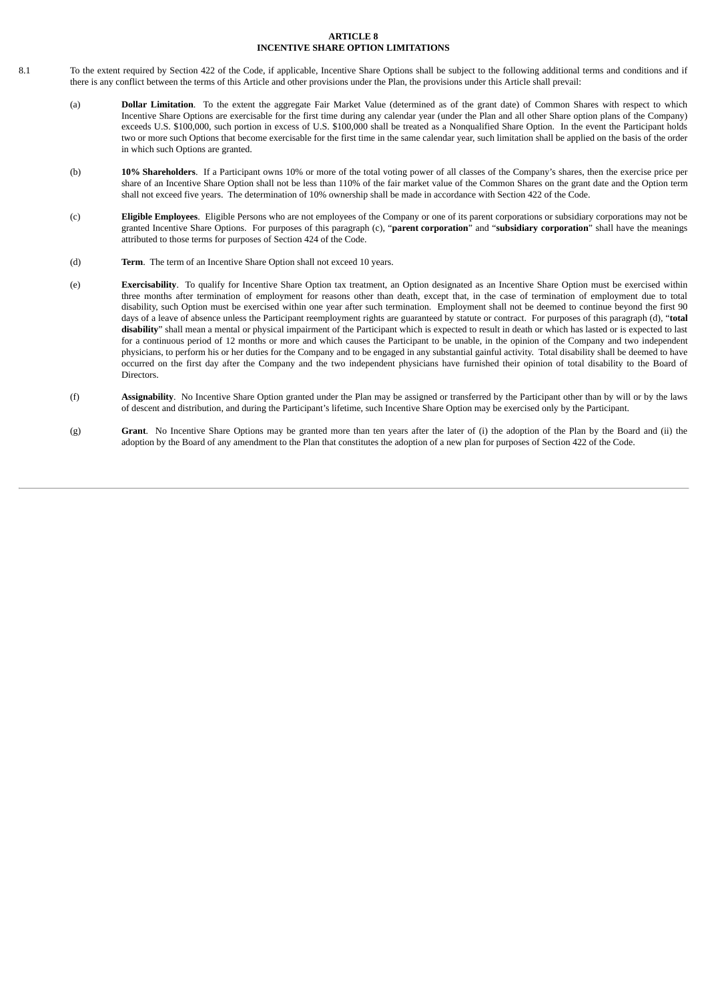#### **ARTICLE 8 INCENTIVE SHARE OPTION LIMITATIONS**

- 8.1 To the extent required by Section 422 of the Code, if applicable, Incentive Share Options shall be subject to the following additional terms and conditions and if there is any conflict between the terms of this Article and other provisions under the Plan, the provisions under this Article shall prevail:
	- (a) **Dollar Limitation**. To the extent the aggregate Fair Market Value (determined as of the grant date) of Common Shares with respect to which Incentive Share Options are exercisable for the first time during any calendar year (under the Plan and all other Share option plans of the Company) exceeds U.S. \$100,000, such portion in excess of U.S. \$100,000 shall be treated as a Nonqualified Share Option. In the event the Participant holds two or more such Options that become exercisable for the first time in the same calendar year, such limitation shall be applied on the basis of the order in which such Options are granted.
	- (b) **10% Shareholders**. If a Participant owns 10% or more of the total voting power of all classes of the Company's shares, then the exercise price per share of an Incentive Share Option shall not be less than 110% of the fair market value of the Common Shares on the grant date and the Option term shall not exceed five years. The determination of 10% ownership shall be made in accordance with Section 422 of the Code.
	- (c) **Eligible Employees**. Eligible Persons who are not employees of the Company or one of its parent corporations or subsidiary corporations may not be granted Incentive Share Options. For purposes of this paragraph (c), "**parent corporation**" and "**subsidiary corporation**" shall have the meanings attributed to those terms for purposes of Section 424 of the Code.
	- (d) **Term**. The term of an Incentive Share Option shall not exceed 10 years.
	- (e) **Exercisability**. To qualify for Incentive Share Option tax treatment, an Option designated as an Incentive Share Option must be exercised within three months after termination of employment for reasons other than death, except that, in the case of termination of employment due to total disability, such Option must be exercised within one year after such termination. Employment shall not be deemed to continue beyond the first 90 days of a leave of absence unless the Participant reemployment rights are guaranteed by statute or contract. For purposes of this paragraph (d), "**total disability**" shall mean a mental or physical impairment of the Participant which is expected to result in death or which has lasted or is expected to last for a continuous period of 12 months or more and which causes the Participant to be unable, in the opinion of the Company and two independent physicians, to perform his or her duties for the Company and to be engaged in any substantial gainful activity. Total disability shall be deemed to have occurred on the first day after the Company and the two independent physicians have furnished their opinion of total disability to the Board of **Directors**
	- (f) **Assignability**. No Incentive Share Option granted under the Plan may be assigned or transferred by the Participant other than by will or by the laws of descent and distribution, and during the Participant's lifetime, such Incentive Share Option may be exercised only by the Participant.
	- (g) **Grant**. No Incentive Share Options may be granted more than ten years after the later of (i) the adoption of the Plan by the Board and (ii) the adoption by the Board of any amendment to the Plan that constitutes the adoption of a new plan for purposes of Section 422 of the Code.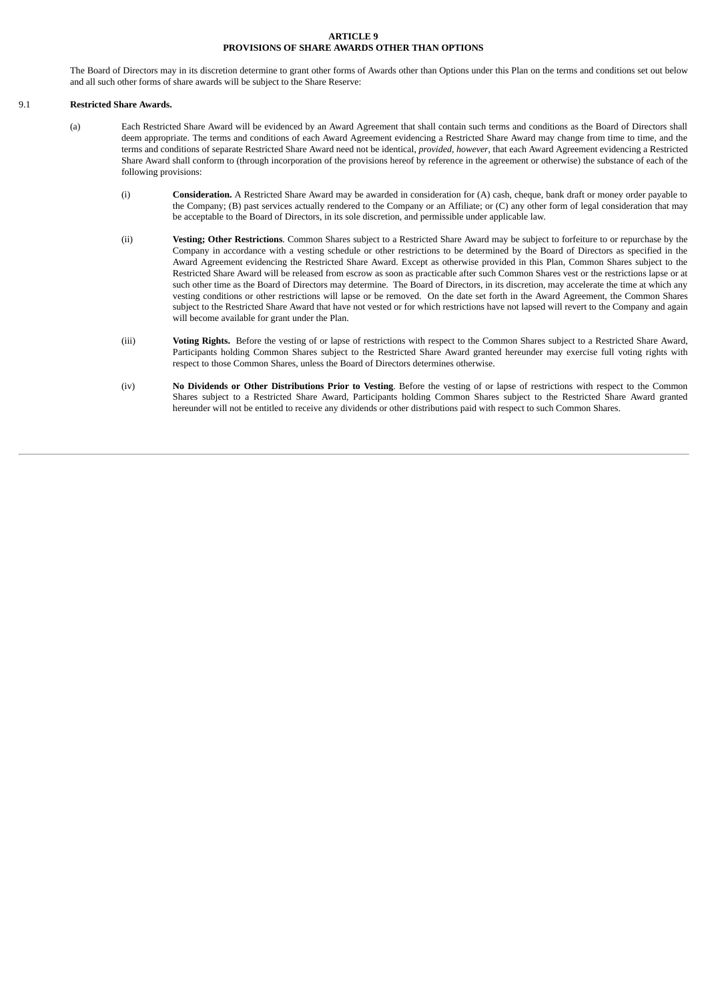# **ARTICLE 9 PROVISIONS OF SHARE AWARDS OTHER THAN OPTIONS**

The Board of Directors may in its discretion determine to grant other forms of Awards other than Options under this Plan on the terms and conditions set out below and all such other forms of share awards will be subject to the Share Reserve:

# 9.1 **Restricted Share Awards.**

- (a) Each Restricted Share Award will be evidenced by an Award Agreement that shall contain such terms and conditions as the Board of Directors shall deem appropriate. The terms and conditions of each Award Agreement evidencing a Restricted Share Award may change from time to time, and the terms and conditions of separate Restricted Share Award need not be identical, *provided, however*, that each Award Agreement evidencing a Restricted Share Award shall conform to (through incorporation of the provisions hereof by reference in the agreement or otherwise) the substance of each of the following provisions:
	- (i) **Consideration.** A Restricted Share Award may be awarded in consideration for (A) cash, cheque, bank draft or money order payable to the Company; (B) past services actually rendered to the Company or an Affiliate; or (C) any other form of legal consideration that may be acceptable to the Board of Directors, in its sole discretion, and permissible under applicable law.
	- (ii) **Vesting; Other Restrictions**. Common Shares subject to a Restricted Share Award may be subject to forfeiture to or repurchase by the Company in accordance with a vesting schedule or other restrictions to be determined by the Board of Directors as specified in the Award Agreement evidencing the Restricted Share Award. Except as otherwise provided in this Plan, Common Shares subject to the Restricted Share Award will be released from escrow as soon as practicable after such Common Shares vest or the restrictions lapse or at such other time as the Board of Directors may determine. The Board of Directors, in its discretion, may accelerate the time at which any vesting conditions or other restrictions will lapse or be removed. On the date set forth in the Award Agreement, the Common Shares subject to the Restricted Share Award that have not vested or for which restrictions have not lapsed will revert to the Company and again will become available for grant under the Plan.
	- (iii) **Voting Rights.** Before the vesting of or lapse of restrictions with respect to the Common Shares subject to a Restricted Share Award, Participants holding Common Shares subject to the Restricted Share Award granted hereunder may exercise full voting rights with respect to those Common Shares, unless the Board of Directors determines otherwise.
	- (iv) **No Dividends or Other Distributions Prior to Vesting**. Before the vesting of or lapse of restrictions with respect to the Common Shares subject to a Restricted Share Award, Participants holding Common Shares subject to the Restricted Share Award granted hereunder will not be entitled to receive any dividends or other distributions paid with respect to such Common Shares.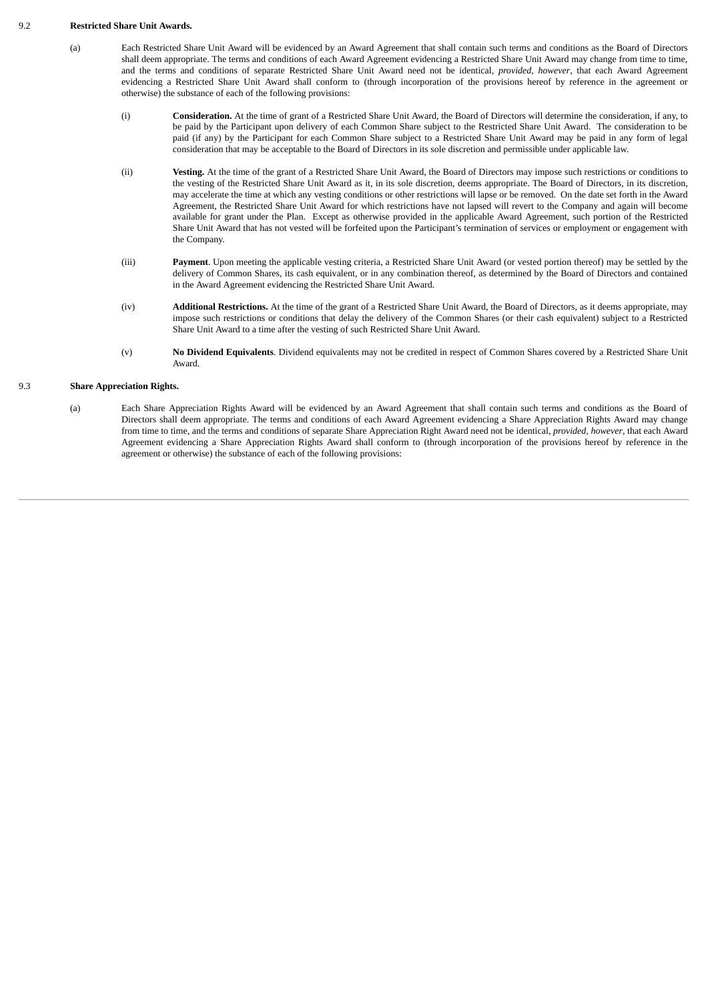# 9.2 **Restricted Share Unit Awards.**

- (a) Each Restricted Share Unit Award will be evidenced by an Award Agreement that shall contain such terms and conditions as the Board of Directors shall deem appropriate. The terms and conditions of each Award Agreement evidencing a Restricted Share Unit Award may change from time to time, and the terms and conditions of separate Restricted Share Unit Award need not be identical, *provided, however*, that each Award Agreement evidencing a Restricted Share Unit Award shall conform to (through incorporation of the provisions hereof by reference in the agreement or otherwise) the substance of each of the following provisions:
	- (i) **Consideration.** At the time of grant of a Restricted Share Unit Award, the Board of Directors will determine the consideration, if any, to be paid by the Participant upon delivery of each Common Share subject to the Restricted Share Unit Award. The consideration to be paid (if any) by the Participant for each Common Share subject to a Restricted Share Unit Award may be paid in any form of legal consideration that may be acceptable to the Board of Directors in its sole discretion and permissible under applicable law.
	- (ii) **Vesting.** At the time of the grant of a Restricted Share Unit Award, the Board of Directors may impose such restrictions or conditions to the vesting of the Restricted Share Unit Award as it, in its sole discretion, deems appropriate. The Board of Directors, in its discretion, may accelerate the time at which any vesting conditions or other restrictions will lapse or be removed. On the date set forth in the Award Agreement, the Restricted Share Unit Award for which restrictions have not lapsed will revert to the Company and again will become available for grant under the Plan. Except as otherwise provided in the applicable Award Agreement, such portion of the Restricted Share Unit Award that has not vested will be forfeited upon the Participant's termination of services or employment or engagement with the Company.
	- (iii) **Payment**. Upon meeting the applicable vesting criteria, a Restricted Share Unit Award (or vested portion thereof) may be settled by the delivery of Common Shares, its cash equivalent, or in any combination thereof, as determined by the Board of Directors and contained in the Award Agreement evidencing the Restricted Share Unit Award.
	- (iv) **Additional Restrictions.** At the time of the grant of a Restricted Share Unit Award, the Board of Directors, as it deems appropriate, may impose such restrictions or conditions that delay the delivery of the Common Shares (or their cash equivalent) subject to a Restricted Share Unit Award to a time after the vesting of such Restricted Share Unit Award.
	- (v) **No Dividend Equivalents**. Dividend equivalents may not be credited in respect of Common Shares covered by a Restricted Share Unit Award.

# 9.3 **Share Appreciation Rights.**

(a) Each Share Appreciation Rights Award will be evidenced by an Award Agreement that shall contain such terms and conditions as the Board of Directors shall deem appropriate. The terms and conditions of each Award Agreement evidencing a Share Appreciation Rights Award may change from time to time, and the terms and conditions of separate Share Appreciation Right Award need not be identical, *provided, however*, that each Award Agreement evidencing a Share Appreciation Rights Award shall conform to (through incorporation of the provisions hereof by reference in the agreement or otherwise) the substance of each of the following provisions: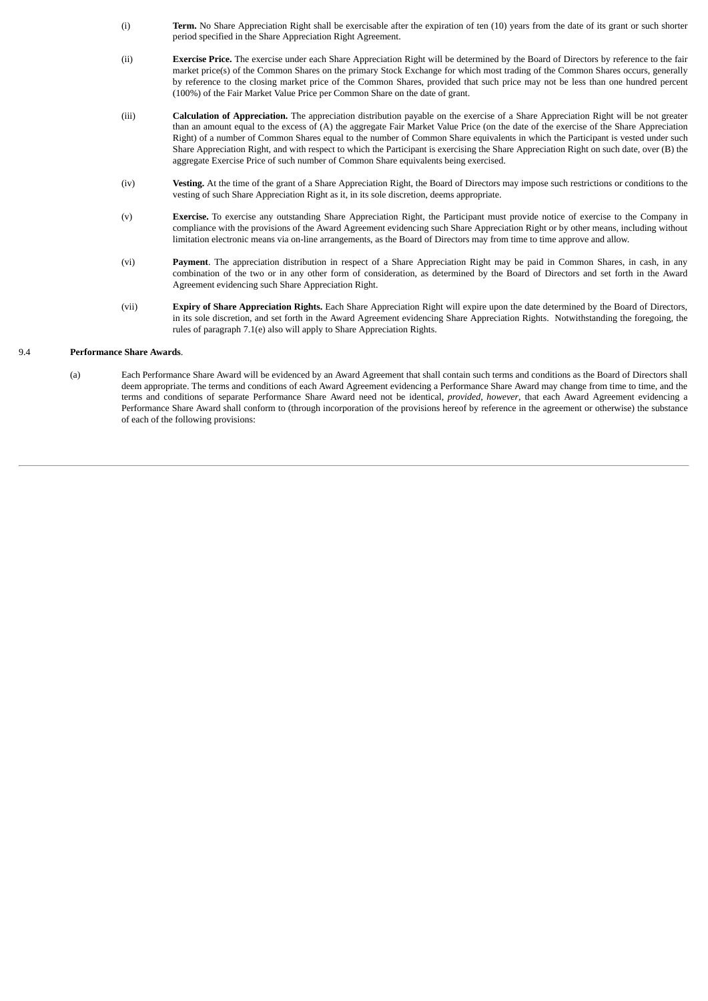- (i) **Term.** No Share Appreciation Right shall be exercisable after the expiration of ten (10) years from the date of its grant or such shorter period specified in the Share Appreciation Right Agreement.
- (ii) **Exercise Price.** The exercise under each Share Appreciation Right will be determined by the Board of Directors by reference to the fair market price(s) of the Common Shares on the primary Stock Exchange for which most trading of the Common Shares occurs, generally by reference to the closing market price of the Common Shares, provided that such price may not be less than one hundred percent (100%) of the Fair Market Value Price per Common Share on the date of grant.
- (iii) **Calculation of Appreciation.** The appreciation distribution payable on the exercise of a Share Appreciation Right will be not greater than an amount equal to the excess of (A) the aggregate Fair Market Value Price (on the date of the exercise of the Share Appreciation Right) of a number of Common Shares equal to the number of Common Share equivalents in which the Participant is vested under such Share Appreciation Right, and with respect to which the Participant is exercising the Share Appreciation Right on such date, over (B) the aggregate Exercise Price of such number of Common Share equivalents being exercised.
- (iv) **Vesting.** At the time of the grant of a Share Appreciation Right, the Board of Directors may impose such restrictions or conditions to the vesting of such Share Appreciation Right as it, in its sole discretion, deems appropriate.
- (v) **Exercise.** To exercise any outstanding Share Appreciation Right, the Participant must provide notice of exercise to the Company in compliance with the provisions of the Award Agreement evidencing such Share Appreciation Right or by other means, including without limitation electronic means via on-line arrangements, as the Board of Directors may from time to time approve and allow.
- (vi) **Payment**. The appreciation distribution in respect of a Share Appreciation Right may be paid in Common Shares, in cash, in any combination of the two or in any other form of consideration, as determined by the Board of Directors and set forth in the Award Agreement evidencing such Share Appreciation Right.
- (vii) **Expiry of Share Appreciation Rights.** Each Share Appreciation Right will expire upon the date determined by the Board of Directors, in its sole discretion, and set forth in the Award Agreement evidencing Share Appreciation Rights. Notwithstanding the foregoing, the rules of paragraph 7.1(e) also will apply to Share Appreciation Rights.

# 9.4 **Performance Share Awards**.

(a) Each Performance Share Award will be evidenced by an Award Agreement that shall contain such terms and conditions as the Board of Directors shall deem appropriate. The terms and conditions of each Award Agreement evidencing a Performance Share Award may change from time to time, and the terms and conditions of separate Performance Share Award need not be identical, *provided, however*, that each Award Agreement evidencing a Performance Share Award shall conform to (through incorporation of the provisions hereof by reference in the agreement or otherwise) the substance of each of the following provisions: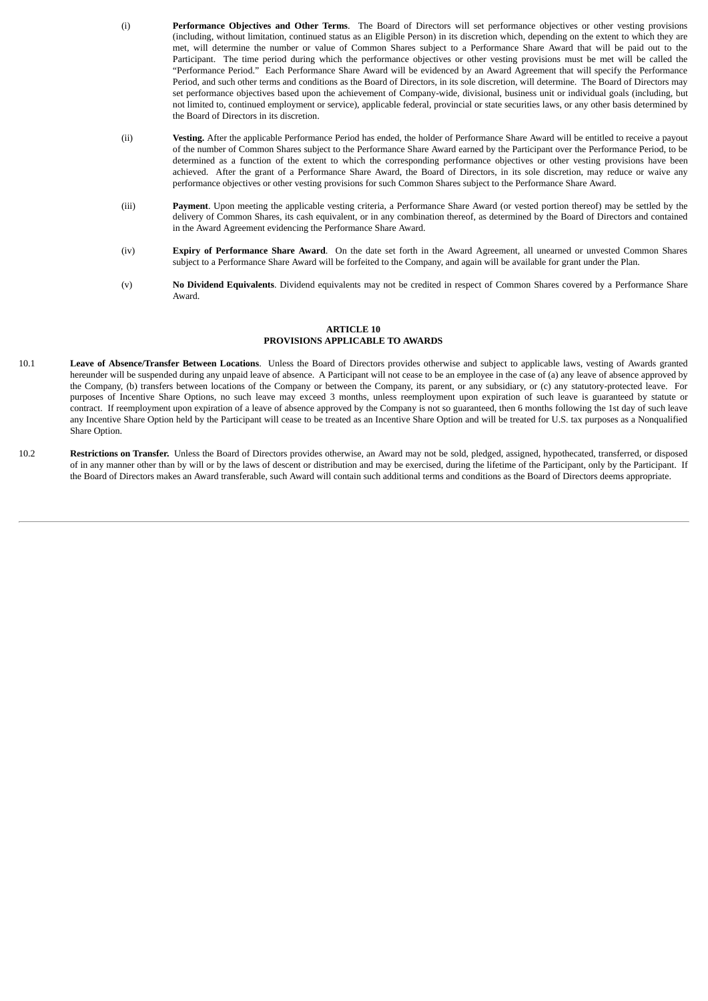- (i) **Performance Objectives and Other Terms**. The Board of Directors will set performance objectives or other vesting provisions (including, without limitation, continued status as an Eligible Person) in its discretion which, depending on the extent to which they are met, will determine the number or value of Common Shares subject to a Performance Share Award that will be paid out to the Participant. The time period during which the performance objectives or other vesting provisions must be met will be called the "Performance Period." Each Performance Share Award will be evidenced by an Award Agreement that will specify the Performance Period, and such other terms and conditions as the Board of Directors, in its sole discretion, will determine. The Board of Directors may set performance objectives based upon the achievement of Company-wide, divisional, business unit or individual goals (including, but not limited to, continued employment or service), applicable federal, provincial or state securities laws, or any other basis determined by the Board of Directors in its discretion.
- (ii) **Vesting.** After the applicable Performance Period has ended, the holder of Performance Share Award will be entitled to receive a payout of the number of Common Shares subject to the Performance Share Award earned by the Participant over the Performance Period, to be determined as a function of the extent to which the corresponding performance objectives or other vesting provisions have been achieved. After the grant of a Performance Share Award, the Board of Directors, in its sole discretion, may reduce or waive any performance objectives or other vesting provisions for such Common Shares subject to the Performance Share Award.
- (iii) **Payment**. Upon meeting the applicable vesting criteria, a Performance Share Award (or vested portion thereof) may be settled by the delivery of Common Shares, its cash equivalent, or in any combination thereof, as determined by the Board of Directors and contained in the Award Agreement evidencing the Performance Share Award.
- (iv) **Expiry of Performance Share Award**. On the date set forth in the Award Agreement, all unearned or unvested Common Shares subject to a Performance Share Award will be forfeited to the Company, and again will be available for grant under the Plan.
- (v) **No Dividend Equivalents**. Dividend equivalents may not be credited in respect of Common Shares covered by a Performance Share Award.

# **ARTICLE 10 PROVISIONS APPLICABLE TO AWARDS**

- 10.1 **Leave of Absence/Transfer Between Locations**. Unless the Board of Directors provides otherwise and subject to applicable laws, vesting of Awards granted hereunder will be suspended during any unpaid leave of absence. A Participant will not cease to be an employee in the case of (a) any leave of absence approved by the Company, (b) transfers between locations of the Company or between the Company, its parent, or any subsidiary, or (c) any statutory-protected leave. For purposes of Incentive Share Options, no such leave may exceed 3 months, unless reemployment upon expiration of such leave is guaranteed by statute or contract. If reemployment upon expiration of a leave of absence approved by the Company is not so guaranteed, then 6 months following the 1st day of such leave any Incentive Share Option held by the Participant will cease to be treated as an Incentive Share Option and will be treated for U.S. tax purposes as a Nonqualified Share Option.
- 10.2 **Restrictions on Transfer.** Unless the Board of Directors provides otherwise, an Award may not be sold, pledged, assigned, hypothecated, transferred, or disposed of in any manner other than by will or by the laws of descent or distribution and may be exercised, during the lifetime of the Participant, only by the Participant. If the Board of Directors makes an Award transferable, such Award will contain such additional terms and conditions as the Board of Directors deems appropriate.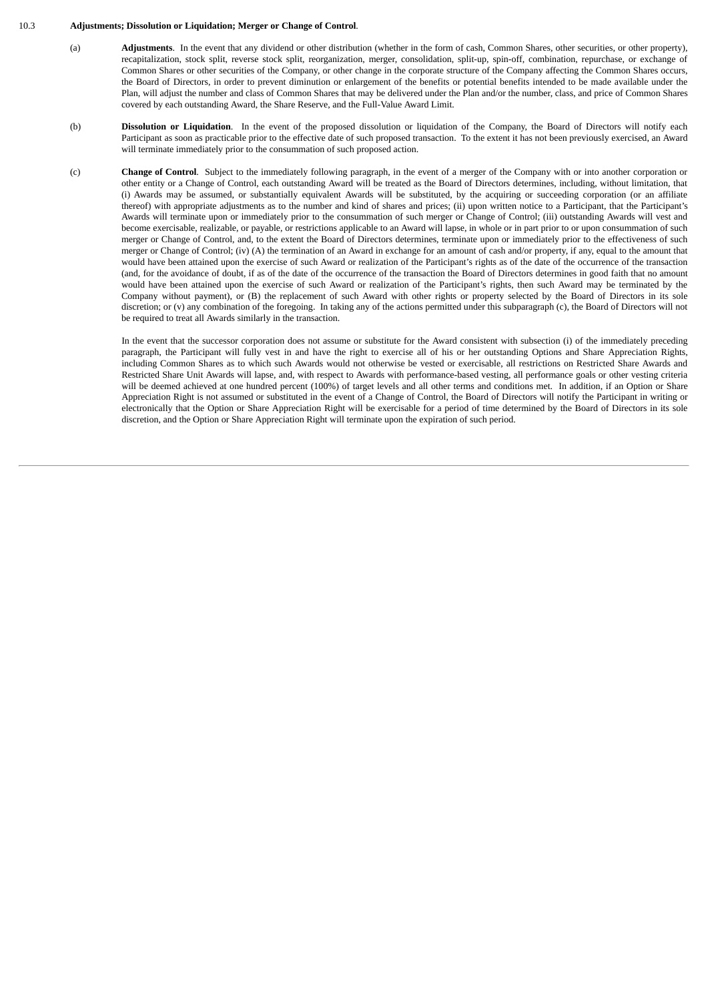#### 10.3 **Adjustments; Dissolution or Liquidation; Merger or Change of Control**.

- (a) **Adjustments**. In the event that any dividend or other distribution (whether in the form of cash, Common Shares, other securities, or other property), recapitalization, stock split, reverse stock split, reorganization, merger, consolidation, split-up, spin-off, combination, repurchase, or exchange of Common Shares or other securities of the Company, or other change in the corporate structure of the Company affecting the Common Shares occurs, the Board of Directors, in order to prevent diminution or enlargement of the benefits or potential benefits intended to be made available under the Plan, will adjust the number and class of Common Shares that may be delivered under the Plan and/or the number, class, and price of Common Shares covered by each outstanding Award, the Share Reserve, and the Full-Value Award Limit.
- (b) **Dissolution or Liquidation**. In the event of the proposed dissolution or liquidation of the Company, the Board of Directors will notify each Participant as soon as practicable prior to the effective date of such proposed transaction. To the extent it has not been previously exercised, an Award will terminate immediately prior to the consummation of such proposed action.
- (c) **Change of Control**. Subject to the immediately following paragraph, in the event of a merger of the Company with or into another corporation or other entity or a Change of Control, each outstanding Award will be treated as the Board of Directors determines, including, without limitation, that (i) Awards may be assumed, or substantially equivalent Awards will be substituted, by the acquiring or succeeding corporation (or an affiliate thereof) with appropriate adjustments as to the number and kind of shares and prices; (ii) upon written notice to a Participant, that the Participant's Awards will terminate upon or immediately prior to the consummation of such merger or Change of Control; (iii) outstanding Awards will vest and become exercisable, realizable, or payable, or restrictions applicable to an Award will lapse, in whole or in part prior to or upon consummation of such merger or Change of Control, and, to the extent the Board of Directors determines, terminate upon or immediately prior to the effectiveness of such merger or Change of Control; (iv) (A) the termination of an Award in exchange for an amount of cash and/or property, if any, equal to the amount that would have been attained upon the exercise of such Award or realization of the Participant's rights as of the date of the occurrence of the transaction (and, for the avoidance of doubt, if as of the date of the occurrence of the transaction the Board of Directors determines in good faith that no amount would have been attained upon the exercise of such Award or realization of the Participant's rights, then such Award may be terminated by the Company without payment), or (B) the replacement of such Award with other rights or property selected by the Board of Directors in its sole discretion; or (v) any combination of the foregoing. In taking any of the actions permitted under this subparagraph (c), the Board of Directors will not be required to treat all Awards similarly in the transaction.

In the event that the successor corporation does not assume or substitute for the Award consistent with subsection (i) of the immediately preceding paragraph, the Participant will fully vest in and have the right to exercise all of his or her outstanding Options and Share Appreciation Rights, including Common Shares as to which such Awards would not otherwise be vested or exercisable, all restrictions on Restricted Share Awards and Restricted Share Unit Awards will lapse, and, with respect to Awards with performance-based vesting, all performance goals or other vesting criteria will be deemed achieved at one hundred percent (100%) of target levels and all other terms and conditions met. In addition, if an Option or Share Appreciation Right is not assumed or substituted in the event of a Change of Control, the Board of Directors will notify the Participant in writing or electronically that the Option or Share Appreciation Right will be exercisable for a period of time determined by the Board of Directors in its sole discretion, and the Option or Share Appreciation Right will terminate upon the expiration of such period.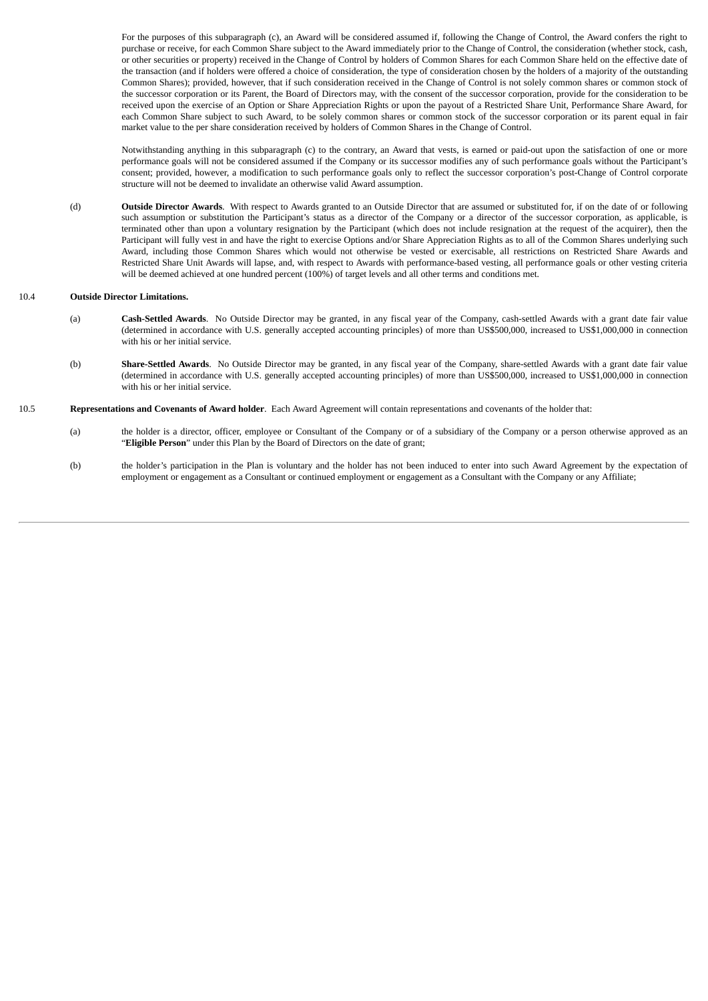For the purposes of this subparagraph (c), an Award will be considered assumed if, following the Change of Control, the Award confers the right to purchase or receive, for each Common Share subject to the Award immediately prior to the Change of Control, the consideration (whether stock, cash, or other securities or property) received in the Change of Control by holders of Common Shares for each Common Share held on the effective date of the transaction (and if holders were offered a choice of consideration, the type of consideration chosen by the holders of a majority of the outstanding Common Shares); provided, however, that if such consideration received in the Change of Control is not solely common shares or common stock of the successor corporation or its Parent, the Board of Directors may, with the consent of the successor corporation, provide for the consideration to be received upon the exercise of an Option or Share Appreciation Rights or upon the payout of a Restricted Share Unit, Performance Share Award, for each Common Share subject to such Award, to be solely common shares or common stock of the successor corporation or its parent equal in fair market value to the per share consideration received by holders of Common Shares in the Change of Control.

Notwithstanding anything in this subparagraph (c) to the contrary, an Award that vests, is earned or paid-out upon the satisfaction of one or more performance goals will not be considered assumed if the Company or its successor modifies any of such performance goals without the Participant's consent; provided, however, a modification to such performance goals only to reflect the successor corporation's post-Change of Control corporate structure will not be deemed to invalidate an otherwise valid Award assumption.

(d) **Outside Director Awards**. With respect to Awards granted to an Outside Director that are assumed or substituted for, if on the date of or following such assumption or substitution the Participant's status as a director of the Company or a director of the successor corporation, as applicable, is terminated other than upon a voluntary resignation by the Participant (which does not include resignation at the request of the acquirer), then the Participant will fully vest in and have the right to exercise Options and/or Share Appreciation Rights as to all of the Common Shares underlying such Award, including those Common Shares which would not otherwise be vested or exercisable, all restrictions on Restricted Share Awards and Restricted Share Unit Awards will lapse, and, with respect to Awards with performance-based vesting, all performance goals or other vesting criteria will be deemed achieved at one hundred percent (100%) of target levels and all other terms and conditions met.

# 10.4 **Outside Director Limitations.**

- (a) **Cash-Settled Awards**. No Outside Director may be granted, in any fiscal year of the Company, cash-settled Awards with a grant date fair value (determined in accordance with U.S. generally accepted accounting principles) of more than US\$500,000, increased to US\$1,000,000 in connection with his or her initial service.
- (b) **Share-Settled Awards**. No Outside Director may be granted, in any fiscal year of the Company, share-settled Awards with a grant date fair value (determined in accordance with U.S. generally accepted accounting principles) of more than US\$500,000, increased to US\$1,000,000 in connection with his or her initial service.
- 10.5 **Representations and Covenants of Award holder**. Each Award Agreement will contain representations and covenants of the holder that:
	- (a) the holder is a director, officer, employee or Consultant of the Company or of a subsidiary of the Company or a person otherwise approved as an "**Eligible Person**" under this Plan by the Board of Directors on the date of grant;
	- (b) the holder's participation in the Plan is voluntary and the holder has not been induced to enter into such Award Agreement by the expectation of employment or engagement as a Consultant or continued employment or engagement as a Consultant with the Company or any Affiliate;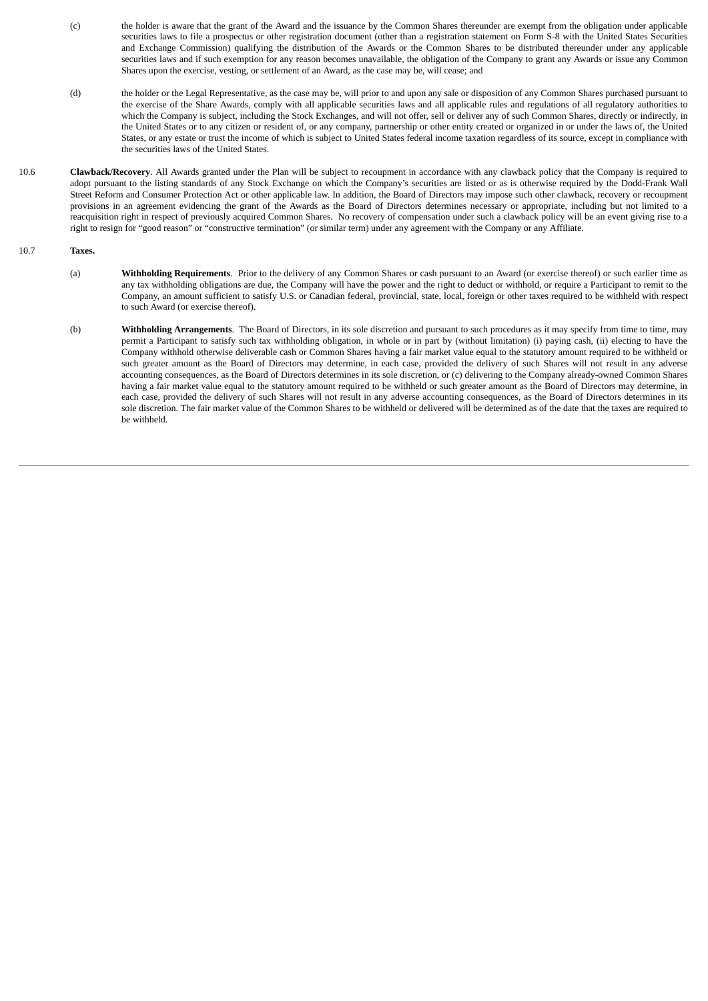- (c) the holder is aware that the grant of the Award and the issuance by the Common Shares thereunder are exempt from the obligation under applicable securities laws to file a prospectus or other registration document (other than a registration statement on Form S-8 with the United States Securities and Exchange Commission) qualifying the distribution of the Awards or the Common Shares to be distributed thereunder under any applicable securities laws and if such exemption for any reason becomes unavailable, the obligation of the Company to grant any Awards or issue any Common Shares upon the exercise, vesting, or settlement of an Award, as the case may be, will cease; and
- (d) the holder or the Legal Representative, as the case may be, will prior to and upon any sale or disposition of any Common Shares purchased pursuant to the exercise of the Share Awards, comply with all applicable securities laws and all applicable rules and regulations of all regulatory authorities to which the Company is subject, including the Stock Exchanges, and will not offer, sell or deliver any of such Common Shares, directly or indirectly, in the United States or to any citizen or resident of, or any company, partnership or other entity created or organized in or under the laws of, the United States, or any estate or trust the income of which is subject to United States federal income taxation regardless of its source, except in compliance with the securities laws of the United States.
- 10.6 **Clawback/Recovery**. All Awards granted under the Plan will be subject to recoupment in accordance with any clawback policy that the Company is required to adopt pursuant to the listing standards of any Stock Exchange on which the Company's securities are listed or as is otherwise required by the Dodd-Frank Wall Street Reform and Consumer Protection Act or other applicable law. In addition, the Board of Directors may impose such other clawback, recovery or recoupment provisions in an agreement evidencing the grant of the Awards as the Board of Directors determines necessary or appropriate, including but not limited to a reacquisition right in respect of previously acquired Common Shares. No recovery of compensation under such a clawback policy will be an event giving rise to a right to resign for "good reason" or "constructive termination" (or similar term) under any agreement with the Company or any Affiliate.

# 10.7 **Taxes.**

- (a) **Withholding Requirements**. Prior to the delivery of any Common Shares or cash pursuant to an Award (or exercise thereof) or such earlier time as any tax withholding obligations are due, the Company will have the power and the right to deduct or withhold, or require a Participant to remit to the Company, an amount sufficient to satisfy U.S. or Canadian federal, provincial, state, local, foreign or other taxes required to be withheld with respect to such Award (or exercise thereof).
- (b) **Withholding Arrangements**. The Board of Directors, in its sole discretion and pursuant to such procedures as it may specify from time to time, may permit a Participant to satisfy such tax withholding obligation, in whole or in part by (without limitation) (i) paying cash, (ii) electing to have the Company withhold otherwise deliverable cash or Common Shares having a fair market value equal to the statutory amount required to be withheld or such greater amount as the Board of Directors may determine, in each case, provided the delivery of such Shares will not result in any adverse accounting consequences, as the Board of Directors determines in its sole discretion, or (c) delivering to the Company already-owned Common Shares having a fair market value equal to the statutory amount required to be withheld or such greater amount as the Board of Directors may determine, in each case, provided the delivery of such Shares will not result in any adverse accounting consequences, as the Board of Directors determines in its sole discretion. The fair market value of the Common Shares to be withheld or delivered will be determined as of the date that the taxes are required to be withheld.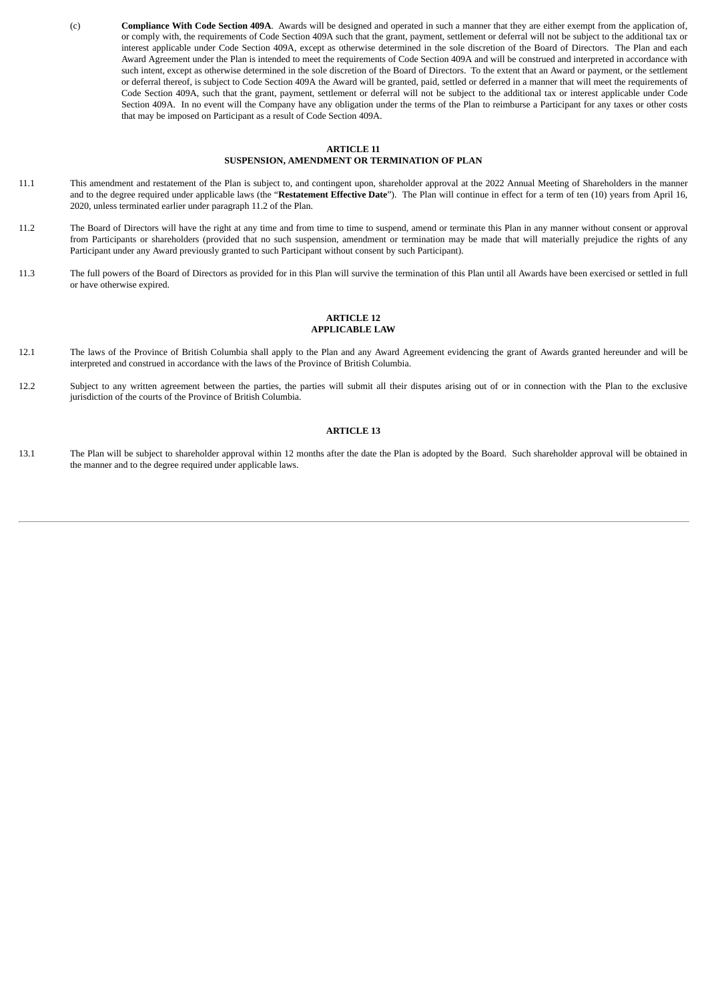(c) **Compliance With Code Section 409A**. Awards will be designed and operated in such a manner that they are either exempt from the application of, or comply with, the requirements of Code Section 409A such that the grant, payment, settlement or deferral will not be subject to the additional tax or interest applicable under Code Section 409A, except as otherwise determined in the sole discretion of the Board of Directors. The Plan and each Award Agreement under the Plan is intended to meet the requirements of Code Section 409A and will be construed and interpreted in accordance with such intent, except as otherwise determined in the sole discretion of the Board of Directors. To the extent that an Award or payment, or the settlement or deferral thereof, is subject to Code Section 409A the Award will be granted, paid, settled or deferred in a manner that will meet the requirements of Code Section 409A, such that the grant, payment, settlement or deferral will not be subject to the additional tax or interest applicable under Code Section 409A. In no event will the Company have any obligation under the terms of the Plan to reimburse a Participant for any taxes or other costs that may be imposed on Participant as a result of Code Section 409A.

#### **ARTICLE 11 SUSPENSION, AMENDMENT OR TERMINATION OF PLAN**

- 11.1 This amendment and restatement of the Plan is subject to, and contingent upon, shareholder approval at the 2022 Annual Meeting of Shareholders in the manner and to the degree required under applicable laws (the "**Restatement Effective Date**"). The Plan will continue in effect for a term of ten (10) years from April 16, 2020, unless terminated earlier under paragraph 11.2 of the Plan.
- 11.2 The Board of Directors will have the right at any time and from time to time to suspend, amend or terminate this Plan in any manner without consent or approval from Participants or shareholders (provided that no such suspension, amendment or termination may be made that will materially prejudice the rights of any Participant under any Award previously granted to such Participant without consent by such Participant).
- 11.3 The full powers of the Board of Directors as provided for in this Plan will survive the termination of this Plan until all Awards have been exercised or settled in full or have otherwise expired.

#### **ARTICLE 12 APPLICABLE LAW**

- 12.1 The laws of the Province of British Columbia shall apply to the Plan and any Award Agreement evidencing the grant of Awards granted hereunder and will be interpreted and construed in accordance with the laws of the Province of British Columbia.
- 12.2 Subject to any written agreement between the parties, the parties will submit all their disputes arising out of or in connection with the Plan to the exclusive jurisdiction of the courts of the Province of British Columbia.

# **ARTICLE 13**

13.1 The Plan will be subject to shareholder approval within 12 months after the date the Plan is adopted by the Board. Such shareholder approval will be obtained in the manner and to the degree required under applicable laws.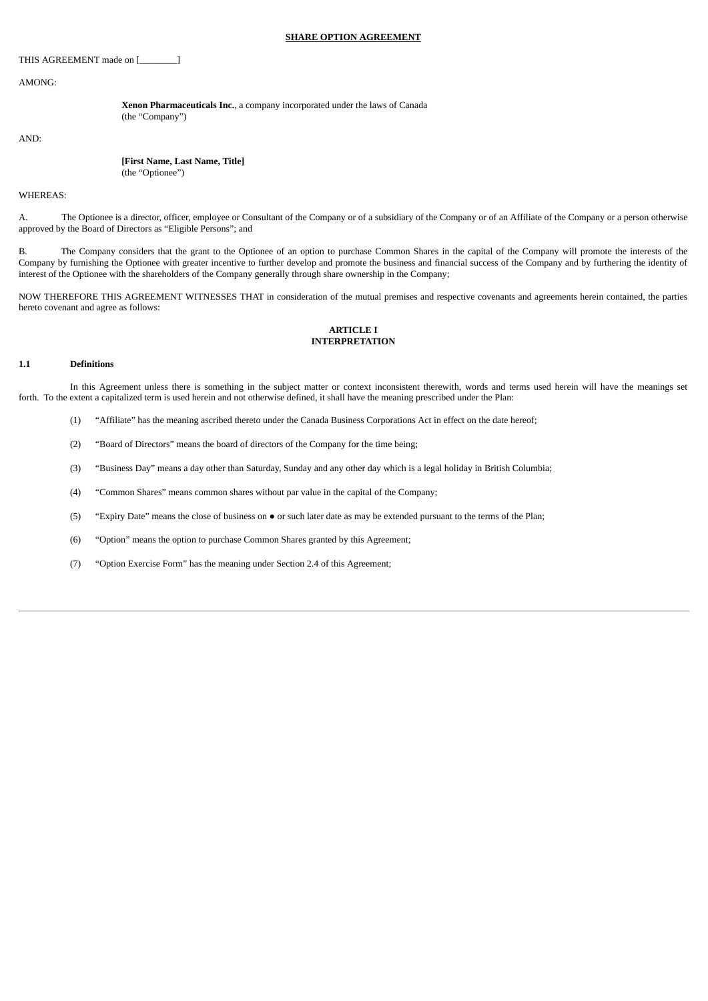#### **SHARE OPTION AGREEMENT**

THIS AGREEMENT made on [\_\_\_\_\_\_\_\_]

AMONG:

**Xenon Pharmaceuticals Inc.**, a company incorporated under the laws of Canada (the "Company")

AND:

| [First Name, Last Name, Title] |  |
|--------------------------------|--|
| (the "Optionee")               |  |

#### WHEREAS:

A. The Optionee is a director, officer, employee or Consultant of the Company or of a subsidiary of the Company or of an Affiliate of the Company or a person otherwise approved by the Board of Directors as "Eligible Persons"; and

B. The Company considers that the grant to the Optionee of an option to purchase Common Shares in the capital of the Company will promote the interests of the Company by furnishing the Optionee with greater incentive to further develop and promote the business and financial success of the Company and by furthering the identity of interest of the Optionee with the shareholders of the Company generally through share ownership in the Company;

NOW THEREFORE THIS AGREEMENT WITNESSES THAT in consideration of the mutual premises and respective covenants and agreements herein contained, the parties hereto covenant and agree as follows:

# **ARTICLE I INTERPRETATION**

# **1.1 Definitions**

In this Agreement unless there is something in the subject matter or context inconsistent therewith, words and terms used herein will have the meanings set forth. To the extent a capitalized term is used herein and not otherwise defined, it shall have the meaning prescribed under the Plan:

- (1) "Affiliate" has the meaning ascribed thereto under the Canada Business Corporations Act in effect on the date hereof;
- (2) "Board of Directors" means the board of directors of the Company for the time being;
- (3) "Business Day" means a day other than Saturday, Sunday and any other day which is a legal holiday in British Columbia;
- (4) "Common Shares" means common shares without par value in the capital of the Company;
- (5) "Expiry Date" means the close of business on or such later date as may be extended pursuant to the terms of the Plan;
- (6) "Option" means the option to purchase Common Shares granted by this Agreement;
- (7) "Option Exercise Form" has the meaning under Section 2.4 of this Agreement;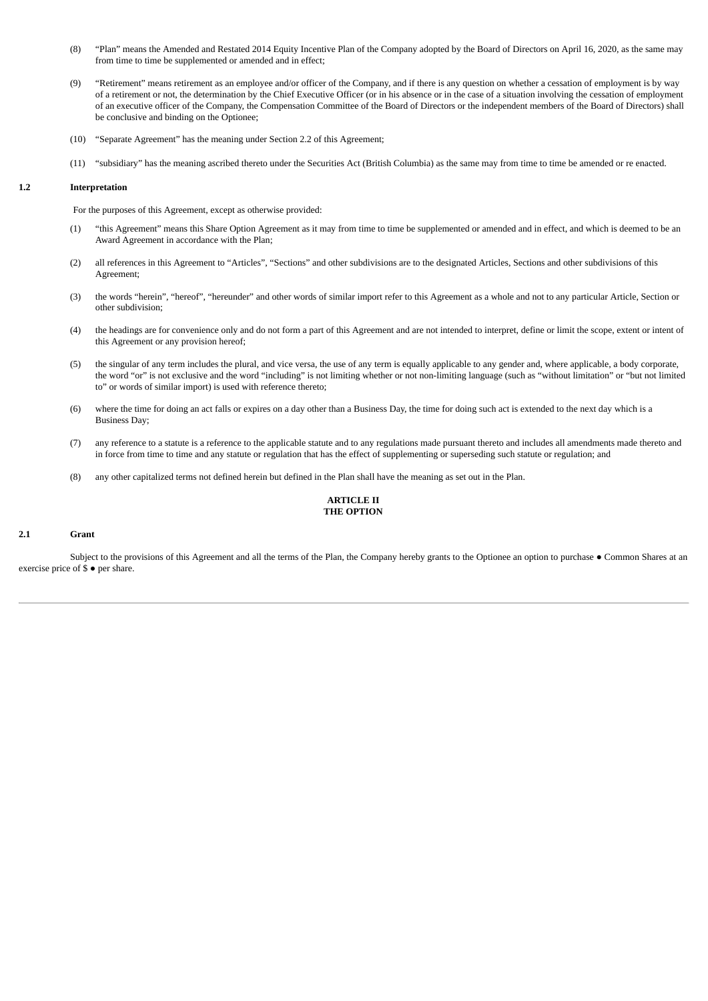- (8) "Plan" means the Amended and Restated 2014 Equity Incentive Plan of the Company adopted by the Board of Directors on April 16, 2020, as the same may from time to time be supplemented or amended and in effect;
- (9) "Retirement" means retirement as an employee and/or officer of the Company, and if there is any question on whether a cessation of employment is by way of a retirement or not, the determination by the Chief Executive Officer (or in his absence or in the case of a situation involving the cessation of employment of an executive officer of the Company, the Compensation Committee of the Board of Directors or the independent members of the Board of Directors) shall be conclusive and binding on the Optionee;
- (10) "Separate Agreement" has the meaning under Section 2.2 of this Agreement;
- (11) "subsidiary" has the meaning ascribed thereto under the Securities Act (British Columbia) as the same may from time to time be amended or re enacted.

# **1.2 Interpretation**

For the purposes of this Agreement, except as otherwise provided:

- (1) "this Agreement" means this Share Option Agreement as it may from time to time be supplemented or amended and in effect, and which is deemed to be an Award Agreement in accordance with the Plan;
- (2) all references in this Agreement to "Articles", "Sections" and other subdivisions are to the designated Articles, Sections and other subdivisions of this Agreement;
- (3) the words "herein", "hereof", "hereunder" and other words of similar import refer to this Agreement as a whole and not to any particular Article, Section or other subdivision;
- (4) the headings are for convenience only and do not form a part of this Agreement and are not intended to interpret, define or limit the scope, extent or intent of this Agreement or any provision hereof;
- (5) the singular of any term includes the plural, and vice versa, the use of any term is equally applicable to any gender and, where applicable, a body corporate, the word "or" is not exclusive and the word "including" is not limiting whether or not non-limiting language (such as "without limitation" or "but not limited to" or words of similar import) is used with reference thereto;
- (6) where the time for doing an act falls or expires on a day other than a Business Day, the time for doing such act is extended to the next day which is a Business Day;
- (7) any reference to a statute is a reference to the applicable statute and to any regulations made pursuant thereto and includes all amendments made thereto and in force from time to time and any statute or regulation that has the effect of supplementing or superseding such statute or regulation; and
- (8) any other capitalized terms not defined herein but defined in the Plan shall have the meaning as set out in the Plan.

# **ARTICLE II THE OPTION**

#### **2.1 Grant**

Subject to the provisions of this Agreement and all the terms of the Plan, the Company hereby grants to the Optionee an option to purchase ● Common Shares at an exercise price of  $\stackrel{\circ}{\mathbb{S}} \bullet$  per share.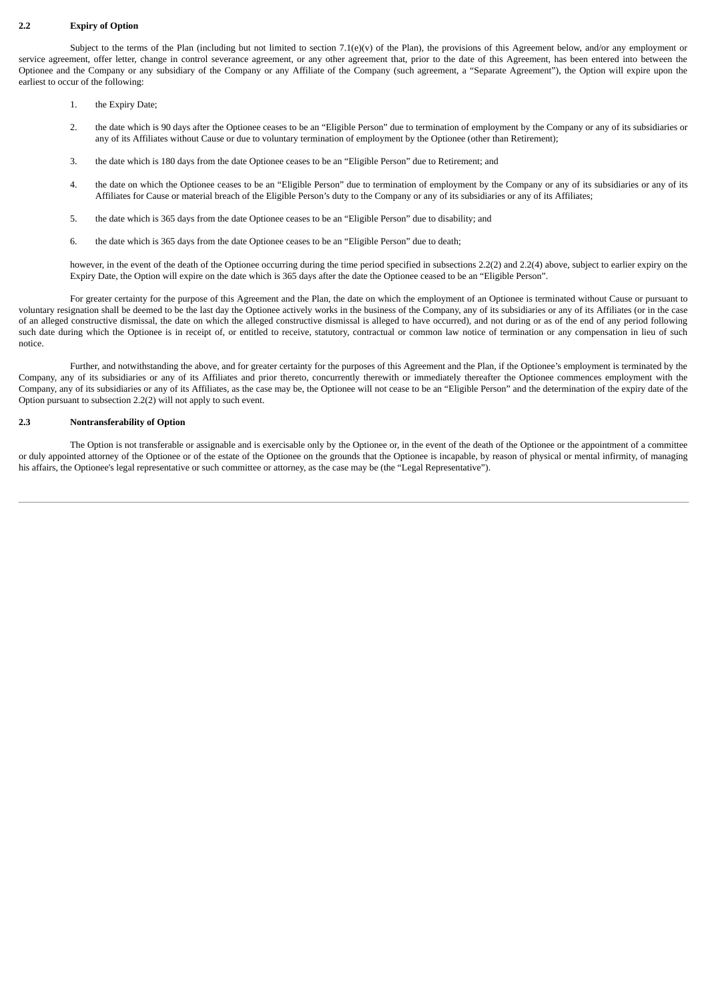# **2.2 Expiry of Option**

Subject to the terms of the Plan (including but not limited to section 7.1(e)(v) of the Plan), the provisions of this Agreement below, and/or any employment or service agreement, offer letter, change in control severance agreement, or any other agreement that, prior to the date of this Agreement, has been entered into between the Optionee and the Company or any subsidiary of the Company or any Affiliate of the Company (such agreement, a "Separate Agreement"), the Option will expire upon the earliest to occur of the following:

- 1. the Expiry Date;
- 2. the date which is 90 days after the Optionee ceases to be an "Eligible Person" due to termination of employment by the Company or any of its subsidiaries or any of its Affiliates without Cause or due to voluntary termination of employment by the Optionee (other than Retirement);
- 3. the date which is 180 days from the date Optionee ceases to be an "Eligible Person" due to Retirement; and
- 4. the date on which the Optionee ceases to be an "Eligible Person" due to termination of employment by the Company or any of its subsidiaries or any of its Affiliates for Cause or material breach of the Eligible Person's duty to the Company or any of its subsidiaries or any of its Affiliates;
- 5. the date which is 365 days from the date Optionee ceases to be an "Eligible Person" due to disability; and
- 6. the date which is 365 days from the date Optionee ceases to be an "Eligible Person" due to death;

however, in the event of the death of the Optionee occurring during the time period specified in subsections 2.2(2) and 2.2(4) above, subject to earlier expiry on the Expiry Date, the Option will expire on the date which is 365 days after the date the Optionee ceased to be an "Eligible Person".

For greater certainty for the purpose of this Agreement and the Plan, the date on which the employment of an Optionee is terminated without Cause or pursuant to voluntary resignation shall be deemed to be the last day the Optionee actively works in the business of the Company, any of its subsidiaries or any of its Affiliates (or in the case of an alleged constructive dismissal, the date on which the alleged constructive dismissal is alleged to have occurred), and not during or as of the end of any period following such date during which the Optionee is in receipt of, or entitled to receive, statutory, contractual or common law notice of termination or any compensation in lieu of such notice.

Further, and notwithstanding the above, and for greater certainty for the purposes of this Agreement and the Plan, if the Optionee's employment is terminated by the Company, any of its subsidiaries or any of its Affiliates and prior thereto, concurrently therewith or immediately thereafter the Optionee commences employment with the Company, any of its subsidiaries or any of its Affiliates, as the case may be, the Optionee will not cease to be an "Eligible Person" and the determination of the expiry date of the Option pursuant to subsection 2.2(2) will not apply to such event.

# **2.3 Nontransferability of Option**

The Option is not transferable or assignable and is exercisable only by the Optionee or, in the event of the death of the Optionee or the appointment of a committee or duly appointed attorney of the Optionee or of the estate of the Optionee on the grounds that the Optionee is incapable, by reason of physical or mental infirmity, of managing his affairs, the Optionee's legal representative or such committee or attorney, as the case may be (the "Legal Representative").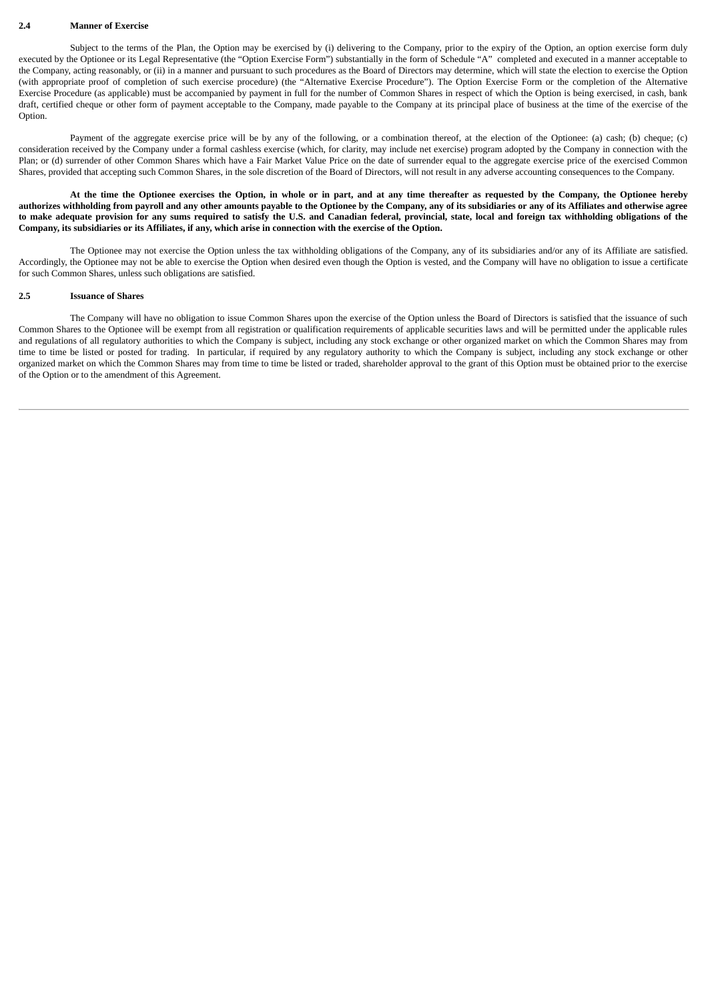#### **2.4 Manner of Exercise**

Subiect to the terms of the Plan, the Option may be exercised by (i) delivering to the Company, prior to the expiry of the Option, an option exercise form duly executed by the Optionee or its Legal Representative (the "Option Exercise Form") substantially in the form of Schedule "A" completed and executed in a manner acceptable to the Company, acting reasonably, or (ii) in a manner and pursuant to such procedures as the Board of Directors may determine, which will state the election to exercise the Option (with appropriate proof of completion of such exercise procedure) (the "Alternative Exercise Procedure"). The Option Exercise Form or the completion of the Alternative Exercise Procedure (as applicable) must be accompanied by payment in full for the number of Common Shares in respect of which the Option is being exercised, in cash, bank draft, certified cheque or other form of payment acceptable to the Company, made payable to the Company at its principal place of business at the time of the exercise of the Option.

Payment of the aggregate exercise price will be by any of the following, or a combination thereof, at the election of the Optionee: (a) cash; (b) cheque; (c) consideration received by the Company under a formal cashless exercise (which, for clarity, may include net exercise) program adopted by the Company in connection with the Plan; or (d) surrender of other Common Shares which have a Fair Market Value Price on the date of surrender equal to the aggregate exercise price of the exercised Common Shares, provided that accepting such Common Shares, in the sole discretion of the Board of Directors, will not result in any adverse accounting consequences to the Company.

At the time the Optionee exercises the Option, in whole or in part, and at any time thereafter as requested by the Company, the Optionee hereby authorizes withholding from payroll and any other amounts payable to the Optionee by the Company, any of its subsidiaries or any of its Affiliates and otherwise agree to make adequate provision for any sums required to satisfy the U.S. and Canadian federal, provincial, state, local and foreign tax withholding obligations of the Company, its subsidiaries or its Affiliates, if any, which arise in connection with the exercise of the Option.

The Optionee may not exercise the Option unless the tax withholding obligations of the Company, any of its subsidiaries and/or any of its Affiliate are satisfied. Accordingly, the Optionee may not be able to exercise the Option when desired even though the Option is vested, and the Company will have no obligation to issue a certificate for such Common Shares, unless such obligations are satisfied.

#### **2.5 Issuance of Shares**

The Company will have no obligation to issue Common Shares upon the exercise of the Option unless the Board of Directors is satisfied that the issuance of such Common Shares to the Optionee will be exempt from all registration or qualification requirements of applicable securities laws and will be permitted under the applicable rules and regulations of all regulatory authorities to which the Company is subject, including any stock exchange or other organized market on which the Common Shares may from time to time be listed or posted for trading. In particular, if required by any regulatory authority to which the Company is subject, including any stock exchange or other organized market on which the Common Shares may from time to time be listed or traded, shareholder approval to the grant of this Option must be obtained prior to the exercise of the Option or to the amendment of this Agreement.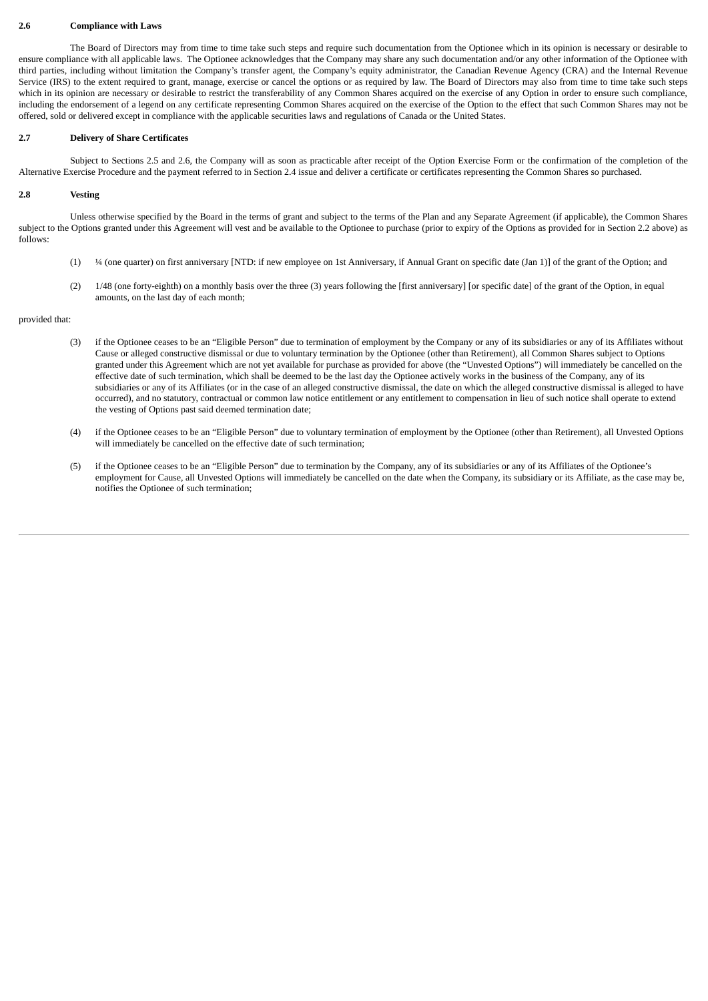#### **2.6 Compliance with Laws**

The Board of Directors may from time to time take such steps and require such documentation from the Optionee which in its opinion is necessary or desirable to ensure compliance with all applicable laws. The Optionee acknowledges that the Company may share any such documentation and/or any other information of the Optionee with third parties, including without limitation the Company's transfer agent, the Company's equity administrator, the Canadian Revenue Agency (CRA) and the Internal Revenue Service (IRS) to the extent required to grant, manage, exercise or cancel the options or as required by law. The Board of Directors may also from time to time take such steps which in its opinion are necessary or desirable to restrict the transferability of any Common Shares acquired on the exercise of any Option in order to ensure such compliance, including the endorsement of a legend on any certificate representing Common Shares acquired on the exercise of the Option to the effect that such Common Shares may not be offered, sold or delivered except in compliance with the applicable securities laws and regulations of Canada or the United States.

# **2.7 Delivery of Share Certificates**

Subject to Sections 2.5 and 2.6, the Company will as soon as practicable after receipt of the Option Exercise Form or the confirmation of the completion of the Alternative Exercise Procedure and the payment referred to in Section 2.4 issue and deliver a certificate or certificates representing the Common Shares so purchased.

# **2.8 Vesting**

Unless otherwise specified by the Board in the terms of grant and subject to the terms of the Plan and any Separate Agreement (if applicable), the Common Shares subject to the Options granted under this Agreement will vest and be available to the Optionee to purchase (prior to expiry of the Options as provided for in Section 2.2 above) as follows:

- (1) ¼ (one quarter) on first anniversary [NTD: if new employee on 1st Anniversary, if Annual Grant on specific date (Jan 1)] of the grant of the Option; and
- (2) 1/48 (one forty-eighth) on a monthly basis over the three (3) years following the [first anniversary] [or specific date] of the grant of the Option, in equal amounts, on the last day of each month;

provided that:

- (3) if the Optionee ceases to be an "Eligible Person" due to termination of employment by the Company or any of its subsidiaries or any of its Affiliates without Cause or alleged constructive dismissal or due to voluntary termination by the Optionee (other than Retirement), all Common Shares subject to Options granted under this Agreement which are not yet available for purchase as provided for above (the "Unvested Options") will immediately be cancelled on the effective date of such termination, which shall be deemed to be the last day the Optionee actively works in the business of the Company, any of its subsidiaries or any of its Affiliates (or in the case of an alleged constructive dismissal, the date on which the alleged constructive dismissal is alleged to have occurred), and no statutory, contractual or common law notice entitlement or any entitlement to compensation in lieu of such notice shall operate to extend the vesting of Options past said deemed termination date;
- (4) if the Optionee ceases to be an "Eligible Person" due to voluntary termination of employment by the Optionee (other than Retirement), all Unvested Options will immediately be cancelled on the effective date of such termination;
- (5) if the Optionee ceases to be an "Eligible Person" due to termination by the Company, any of its subsidiaries or any of its Affiliates of the Optionee's employment for Cause, all Unvested Options will immediately be cancelled on the date when the Company, its subsidiary or its Affiliate, as the case may be, notifies the Optionee of such termination;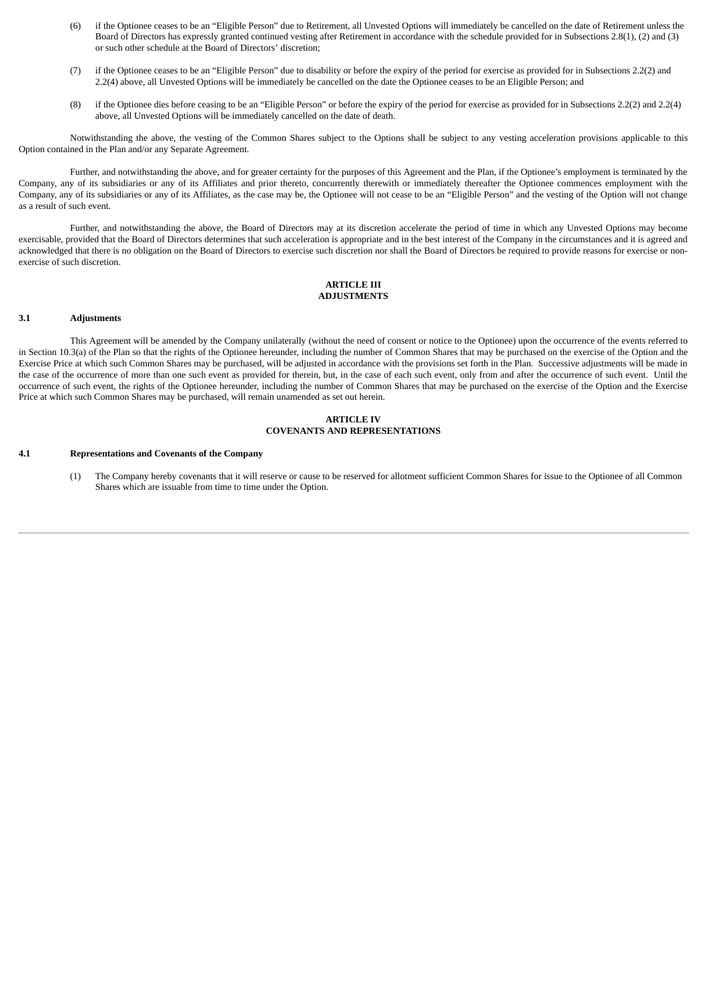- (6) if the Optionee ceases to be an "Eligible Person" due to Retirement, all Unvested Options will immediately be cancelled on the date of Retirement unless the Board of Directors has expressly granted continued vesting after Retirement in accordance with the schedule provided for in Subsections 2.8(1), (2) and (3) or such other schedule at the Board of Directors' discretion;
- (7) if the Optionee ceases to be an "Eligible Person" due to disability or before the expiry of the period for exercise as provided for in Subsections 2.2(2) and 2.2(4) above, all Unvested Options will be immediately be cancelled on the date the Optionee ceases to be an Eligible Person; and
- (8) if the Optionee dies before ceasing to be an "Eligible Person" or before the expiry of the period for exercise as provided for in Subsections 2.2(2) and 2.2(4) above, all Unvested Options will be immediately cancelled on the date of death.

Notwithstanding the above, the vesting of the Common Shares subject to the Options shall be subject to any vesting acceleration provisions applicable to this Option contained in the Plan and/or any Separate Agreement.

Further, and notwithstanding the above, and for greater certainty for the purposes of this Agreement and the Plan, if the Optionee's employment is terminated by the Company, any of its subsidiaries or any of its Affiliates and prior thereto, concurrently therewith or immediately thereafter the Optionee commences employment with the Company, any of its subsidiaries or any of its Affiliates, as the case may be, the Optionee will not cease to be an "Eligible Person" and the vesting of the Option will not change as a result of such event.

Further, and notwithstanding the above, the Board of Directors may at its discretion accelerate the period of time in which any Unvested Options may become exercisable, provided that the Board of Directors determines that such acceleration is appropriate and in the best interest of the Company in the circumstances and it is agreed and acknowledged that there is no obligation on the Board of Directors to exercise such discretion nor shall the Board of Directors be required to provide reasons for exercise or nonexercise of such discretion.

# **ARTICLE III ADJUSTMENTS**

# **3.1 Adjustments**

This Agreement will be amended by the Company unilaterally (without the need of consent or notice to the Optionee) upon the occurrence of the events referred to in Section 10.3(a) of the Plan so that the rights of the Optionee hereunder, including the number of Common Shares that may be purchased on the exercise of the Option and the Exercise Price at which such Common Shares may be purchased, will be adjusted in accordance with the provisions set forth in the Plan. Successive adjustments will be made in the case of the occurrence of more than one such event as provided for therein, but, in the case of each such event, only from and after the occurrence of such event. Until the occurrence of such event, the rights of the Optionee hereunder, including the number of Common Shares that may be purchased on the exercise of the Option and the Exercise Price at which such Common Shares may be purchased, will remain unamended as set out herein.

#### **ARTICLE IV COVENANTS AND REPRESENTATIONS**

#### **4.1 Representations and Covenants of the Company**

(1) The Company hereby covenants that it will reserve or cause to be reserved for allotment sufficient Common Shares for issue to the Optionee of all Common Shares which are issuable from time to time under the Option.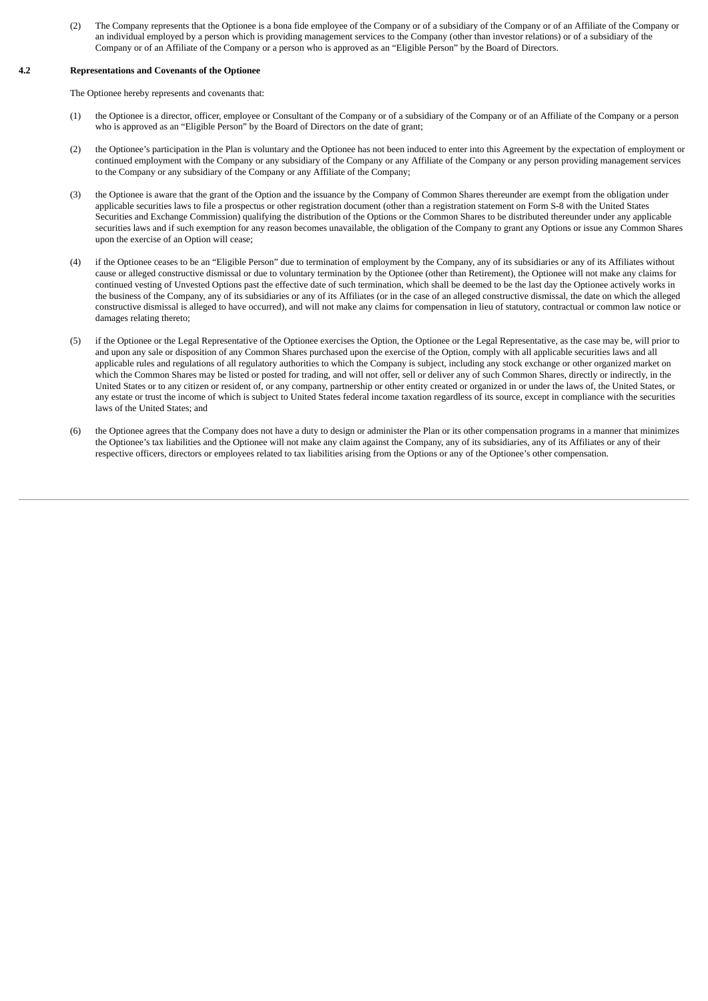(2) The Company represents that the Optionee is a bona fide employee of the Company or of a subsidiary of the Company or of an Affiliate of the Company or an individual employed by a person which is providing management services to the Company (other than investor relations) or of a subsidiary of the Company or of an Affiliate of the Company or a person who is approved as an "Eligible Person" by the Board of Directors.

# **4.2 Representations and Covenants of the Optionee**

The Optionee hereby represents and covenants that:

- (1) the Optionee is a director, officer, employee or Consultant of the Company or of a subsidiary of the Company or of an Affiliate of the Company or a person who is approved as an "Eligible Person" by the Board of Directors on the date of grant;
- (2) the Optionee's participation in the Plan is voluntary and the Optionee has not been induced to enter into this Agreement by the expectation of employment or continued employment with the Company or any subsidiary of the Company or any Affiliate of the Company or any person providing management services to the Company or any subsidiary of the Company or any Affiliate of the Company;
- (3) the Optionee is aware that the grant of the Option and the issuance by the Company of Common Shares thereunder are exempt from the obligation under applicable securities laws to file a prospectus or other registration document (other than a registration statement on Form S-8 with the United States Securities and Exchange Commission) qualifying the distribution of the Options or the Common Shares to be distributed thereunder under any applicable securities laws and if such exemption for any reason becomes unavailable, the obligation of the Company to grant any Options or issue any Common Shares upon the exercise of an Option will cease;
- (4) if the Optionee ceases to be an "Eligible Person" due to termination of employment by the Company, any of its subsidiaries or any of its Affiliates without cause or alleged constructive dismissal or due to voluntary termination by the Optionee (other than Retirement), the Optionee will not make any claims for continued vesting of Unvested Options past the effective date of such termination, which shall be deemed to be the last day the Optionee actively works in the business of the Company, any of its subsidiaries or any of its Affiliates (or in the case of an alleged constructive dismissal, the date on which the alleged constructive dismissal is alleged to have occurred), and will not make any claims for compensation in lieu of statutory, contractual or common law notice or damages relating thereto;
- (5) if the Optionee or the Legal Representative of the Optionee exercises the Option, the Optionee or the Legal Representative, as the case may be, will prior to and upon any sale or disposition of any Common Shares purchased upon the exercise of the Option, comply with all applicable securities laws and all applicable rules and regulations of all regulatory authorities to which the Company is subject, including any stock exchange or other organized market on which the Common Shares may be listed or posted for trading, and will not offer, sell or deliver any of such Common Shares, directly or indirectly, in the United States or to any citizen or resident of, or any company, partnership or other entity created or organized in or under the laws of, the United States, or any estate or trust the income of which is subject to United States federal income taxation regardless of its source, except in compliance with the securities laws of the United States; and
- (6) the Optionee agrees that the Company does not have a duty to design or administer the Plan or its other compensation programs in a manner that minimizes the Optionee's tax liabilities and the Optionee will not make any claim against the Company, any of its subsidiaries, any of its Affiliates or any of their respective officers, directors or employees related to tax liabilities arising from the Options or any of the Optionee's other compensation.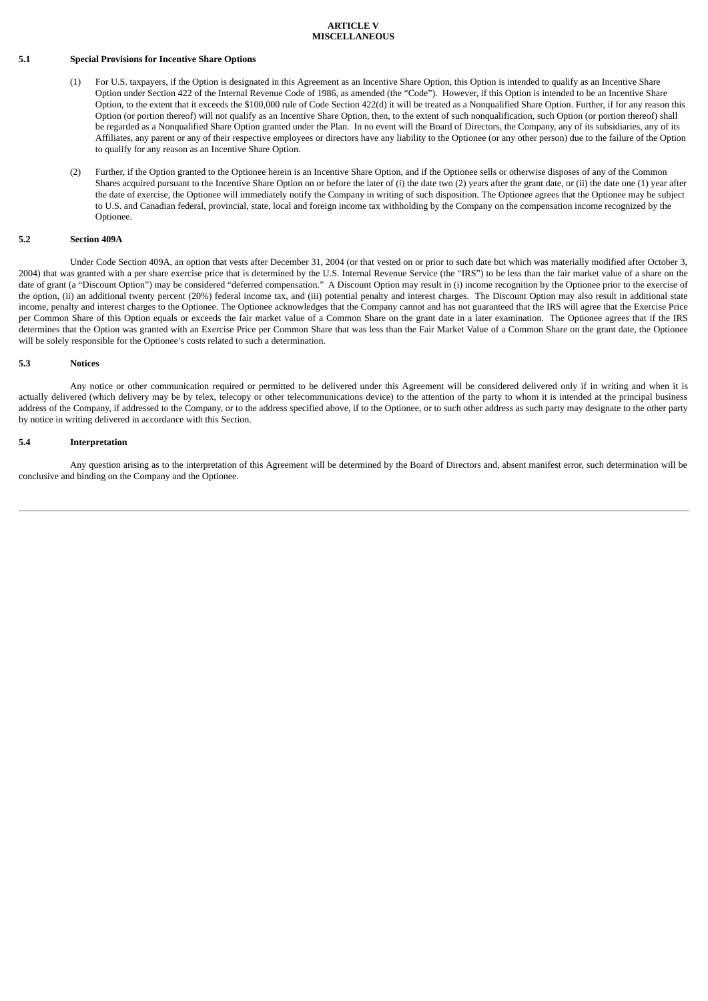#### **ARTICLE V MISCELLANEOUS**

#### **5.1 Special Provisions for Incentive Share Options**

- (1) For U.S. taxpayers, if the Option is designated in this Agreement as an Incentive Share Option, this Option is intended to qualify as an Incentive Share Option under Section 422 of the Internal Revenue Code of 1986, as amended (the "Code"). However, if this Option is intended to be an Incentive Share Option, to the extent that it exceeds the \$100,000 rule of Code Section 422(d) it will be treated as a Nonqualified Share Option. Further, if for any reason this Option (or portion thereof) will not qualify as an Incentive Share Option, then, to the extent of such nonqualification, such Option (or portion thereof) shall be regarded as a Nonqualified Share Option granted under the Plan. In no event will the Board of Directors, the Company, any of its subsidiaries, any of its Affiliates, any parent or any of their respective employees or directors have any liability to the Optionee (or any other person) due to the failure of the Option to qualify for any reason as an Incentive Share Option.
- (2) Further, if the Option granted to the Optionee herein is an Incentive Share Option, and if the Optionee sells or otherwise disposes of any of the Common Shares acquired pursuant to the Incentive Share Option on or before the later of (i) the date two (2) years after the grant date, or (ii) the date one (1) year after the date of exercise, the Optionee will immediately notify the Company in writing of such disposition. The Optionee agrees that the Optionee may be subject to U.S. and Canadian federal, provincial, state, local and foreign income tax withholding by the Company on the compensation income recognized by the Optionee.

#### **5.2 Section 409A**

Under Code Section 409A, an option that vests after December 31, 2004 (or that vested on or prior to such date but which was materially modified after October 3, 2004) that was granted with a per share exercise price that is determined by the U.S. Internal Revenue Service (the "IRS") to be less than the fair market value of a share on the date of grant (a "Discount Option") may be considered "deferred compensation." A Discount Option may result in (i) income recognition by the Optionee prior to the exercise of the option, (ii) an additional twenty percent (20%) federal income tax, and (iii) potential penalty and interest charges. The Discount Option may also result in additional state income, penalty and interest charges to the Optionee. The Optionee acknowledges that the Company cannot and has not guaranteed that the IRS will agree that the Exercise Price per Common Share of this Option equals or exceeds the fair market value of a Common Share on the grant date in a later examination. The Optionee agrees that if the IRS determines that the Option was granted with an Exercise Price per Common Share that was less than the Fair Market Value of a Common Share on the grant date, the Optionee will be solely responsible for the Optionee's costs related to such a determination.

#### **5.3 Notices**

Any notice or other communication required or permitted to be delivered under this Agreement will be considered delivered only if in writing and when it is actually delivered (which delivery may be by telex, telecopy or other telecommunications device) to the attention of the party to whom it is intended at the principal business address of the Company, if addressed to the Company, or to the address specified above, if to the Optionee, or to such other address as such party may designate to the other party by notice in writing delivered in accordance with this Section.

#### **5.4 Interpretation**

Any question arising as to the interpretation of this Agreement will be determined by the Board of Directors and, absent manifest error, such determination will be conclusive and binding on the Company and the Optionee.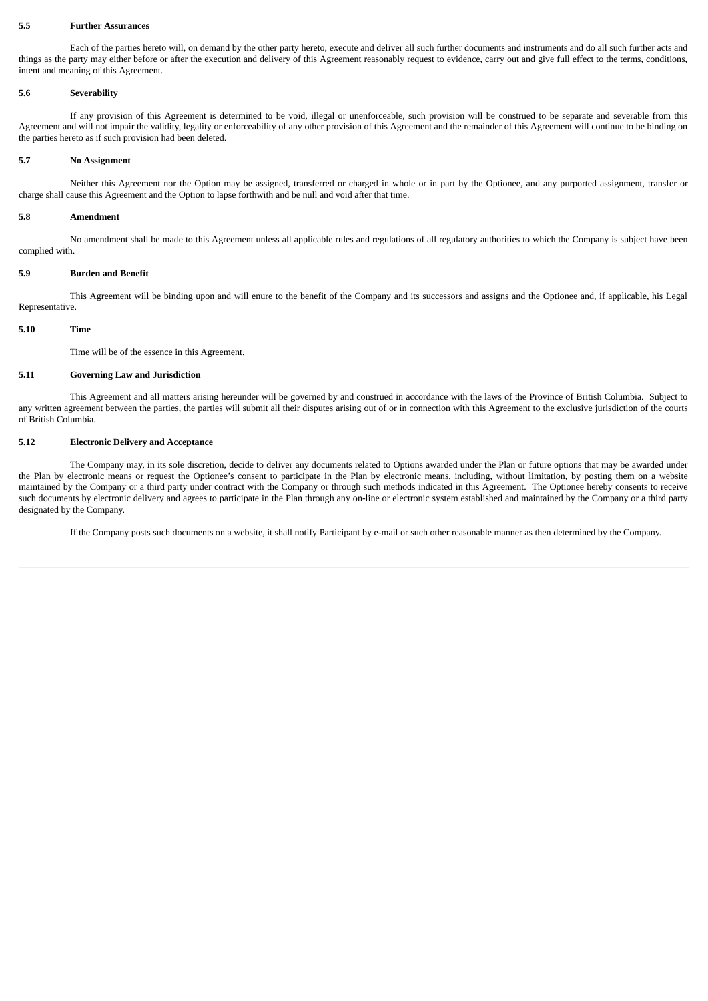#### **5.5 Further Assurances**

Each of the parties hereto will, on demand by the other party hereto, execute and deliver all such further documents and instruments and do all such further acts and things as the party may either before or after the execution and delivery of this Agreement reasonably request to evidence, carry out and give full effect to the terms, conditions, intent and meaning of this Agreement.

#### **5.6 Severability**

If any provision of this Agreement is determined to be void, illegal or unenforceable, such provision will be construed to be separate and severable from this Agreement and will not impair the validity, legality or enforceability of any other provision of this Agreement and the remainder of this Agreement will continue to be binding on the parties hereto as if such provision had been deleted.

# **5.7 No Assignment**

Neither this Agreement nor the Option may be assigned, transferred or charged in whole or in part by the Optionee, and any purported assignment, transfer or charge shall cause this Agreement and the Option to lapse forthwith and be null and void after that time.

#### **5.8 Amendment**

No amendment shall be made to this Agreement unless all applicable rules and regulations of all regulatory authorities to which the Company is subject have been complied with.

# **5.9 Burden and Benefit**

This Agreement will be binding upon and will enure to the benefit of the Company and its successors and assigns and the Optionee and, if applicable, his Legal Representative.

#### **5.10 Time**

Time will be of the essence in this Agreement.

# **5.11 Governing Law and Jurisdiction**

This Agreement and all matters arising hereunder will be governed by and construed in accordance with the laws of the Province of British Columbia. Subject to any written agreement between the parties, the parties will submit all their disputes arising out of or in connection with this Agreement to the exclusive jurisdiction of the courts of British Columbia.

# **5.12 Electronic Delivery and Acceptance**

The Company may, in its sole discretion, decide to deliver any documents related to Options awarded under the Plan or future options that may be awarded under the Plan by electronic means or request the Optionee's consent to participate in the Plan by electronic means, including, without limitation, by posting them on a website maintained by the Company or a third party under contract with the Company or through such methods indicated in this Agreement. The Optionee hereby consents to receive such documents by electronic delivery and agrees to participate in the Plan through any on-line or electronic system established and maintained by the Company or a third party designated by the Company.

If the Company posts such documents on a website, it shall notify Participant by e-mail or such other reasonable manner as then determined by the Company.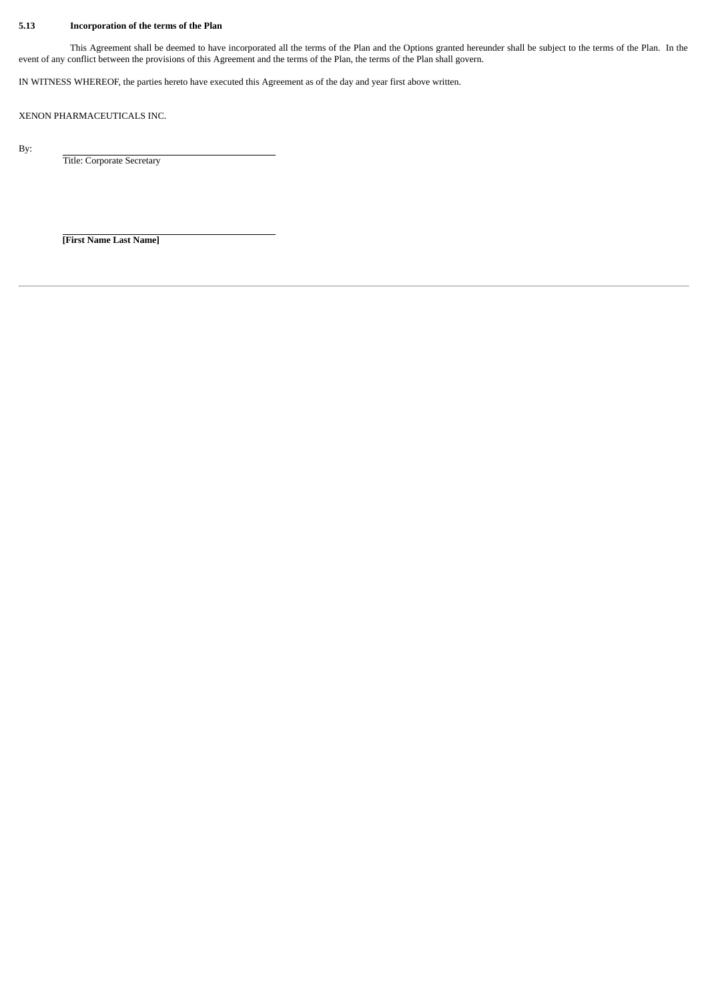# **5.13 Incorporation of the terms of the Plan**

This Agreement shall be deemed to have incorporated all the terms of the Plan and the Options granted hereunder shall be subject to the terms of the Plan. In the event of any conflict between the provisions of this Agreement and the terms of the Plan, the terms of the Plan shall govern.

IN WITNESS WHEREOF, the parties hereto have executed this Agreement as of the day and year first above written.

XENON PHARMACEUTICALS INC.

By:

Title: Corporate Secretary

**[First Name Last Name]**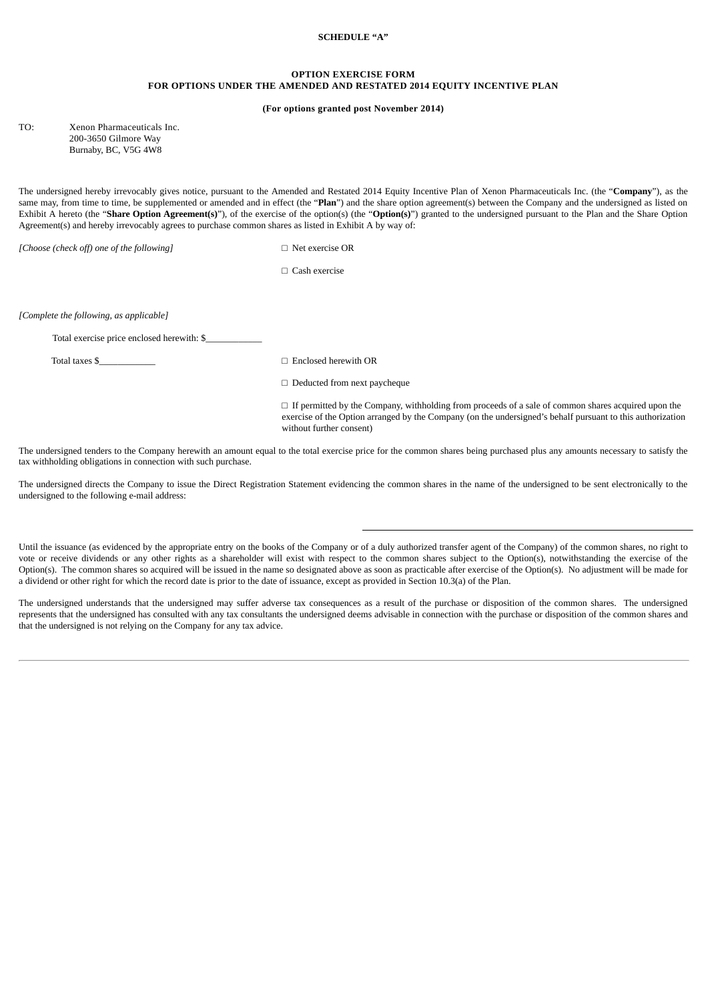# **SCHEDULE "A"**

# **OPTION EXERCISE FORM FOR OPTIONS UNDER THE AMENDED AND RESTATED 2014 EQUITY INCENTIVE PLAN**

#### **(For options granted post November 2014)**

TO: Xenon Pharmaceuticals Inc. 200-3650 Gilmore Way Burnaby, BC, V5G 4W8

The undersigned hereby irrevocably gives notice, pursuant to the Amended and Restated 2014 Equity Incentive Plan of Xenon Pharmaceuticals Inc. (the "**Company**"), as the same may, from time to time, be supplemented or amended and in effect (the "Plan") and the share option agreement(s) between the Company and the undersigned as listed on Exhibit A hereto (the "**Share Option Agreement(s)**"), of the exercise of the option(s) (the "**Option(s)**") granted to the undersigned pursuant to the Plan and the Share Option Agreement(s) and hereby irrevocably agrees to purchase common shares as listed in Exhibit A by way of:

*[Choose (check off) one of the following]* □ Net exercise OR

*□* Cash exercise

*[Complete the following, as applicable]*

Total exercise price enclosed herewith: \$\_\_\_\_\_\_\_\_\_\_\_\_

Total taxes  $\$\quad \Box$  Enclosed herewith OR

□ Deducted from next paycheque

 $\square$  If permitted by the Company, withholding from proceeds of a sale of common shares acquired upon the exercise of the Option arranged by the Company (on the undersigned's behalf pursuant to this authorization without further consent)

The undersigned tenders to the Company herewith an amount equal to the total exercise price for the common shares being purchased plus any amounts necessary to satisfy the tax withholding obligations in connection with such purchase.

The undersigned directs the Company to issue the Direct Registration Statement evidencing the common shares in the name of the undersigned to be sent electronically to the undersigned to the following e-mail address:

Until the issuance (as evidenced by the appropriate entry on the books of the Company or of a duly authorized transfer agent of the Company) of the common shares, no right to vote or receive dividends or any other rights as a shareholder will exist with respect to the common shares subject to the Option(s), notwithstanding the exercise of the Option(s). The common shares so acquired will be issued in the name so designated above as soon as practicable after exercise of the Option(s). No adjustment will be made for a dividend or other right for which the record date is prior to the date of issuance, except as provided in Section 10.3(a) of the Plan.

The undersigned understands that the undersigned may suffer adverse tax consequences as a result of the purchase or disposition of the common shares. The undersigned represents that the undersigned has consulted with any tax consultants the undersigned deems advisable in connection with the purchase or disposition of the common shares and that the undersigned is not relying on the Company for any tax advice.